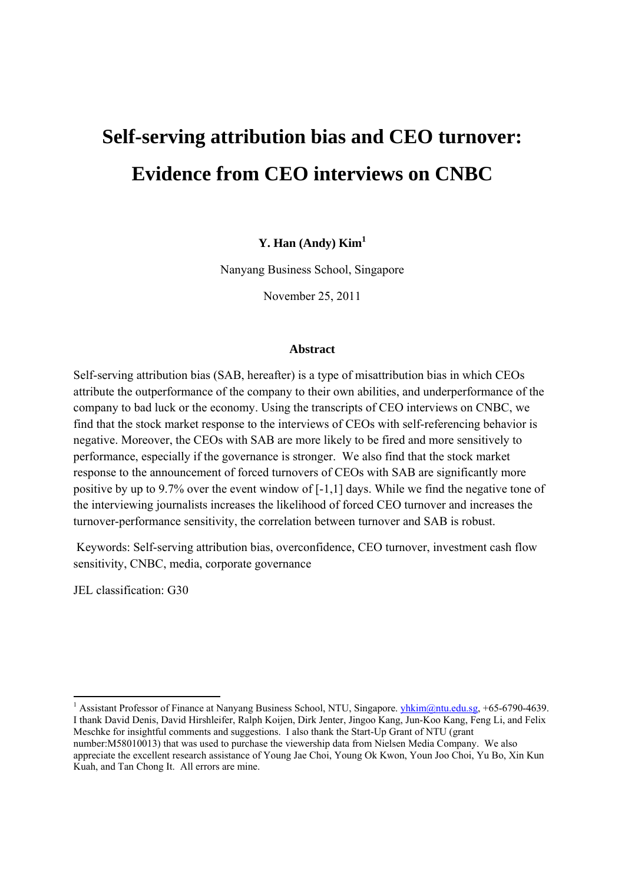# **Self-serving attribution bias and CEO turnover: Evidence from CEO interviews on CNBC**

# **Y. Han (Andy) Kim1**

Nanyang Business School, Singapore

November 25, 2011

#### **Abstract**

Self-serving attribution bias (SAB, hereafter) is a type of misattribution bias in which CEOs attribute the outperformance of the company to their own abilities, and underperformance of the company to bad luck or the economy. Using the transcripts of CEO interviews on CNBC, we find that the stock market response to the interviews of CEOs with self-referencing behavior is negative. Moreover, the CEOs with SAB are more likely to be fired and more sensitively to performance, especially if the governance is stronger. We also find that the stock market response to the announcement of forced turnovers of CEOs with SAB are significantly more positive by up to 9.7% over the event window of [-1,1] days. While we find the negative tone of the interviewing journalists increases the likelihood of forced CEO turnover and increases the turnover-performance sensitivity, the correlation between turnover and SAB is robust.

 Keywords: Self-serving attribution bias, overconfidence, CEO turnover, investment cash flow sensitivity, CNBC, media, corporate governance

JEL classification: G30

<u> Andrew Maria (1989)</u>

<sup>1</sup> Assistant Professor of Finance at Nanyang Business School, NTU, Singapore.  $\frac{\text{vhkim@ntu.edu.sg}}{\text{vhtim@ntu.edu.sg}}$  +65-6790-4639. I thank David Denis, David Hirshleifer, Ralph Koijen, Dirk Jenter, Jingoo Kang, Jun-Koo Kang, Feng Li, and Felix Meschke for insightful comments and suggestions. I also thank the Start-Up Grant of NTU (grant number:M58010013) that was used to purchase the viewership data from Nielsen Media Company. We also appreciate the excellent research assistance of Young Jae Choi, Young Ok Kwon, Youn Joo Choi, Yu Bo, Xin Kun Kuah, and Tan Chong It. All errors are mine.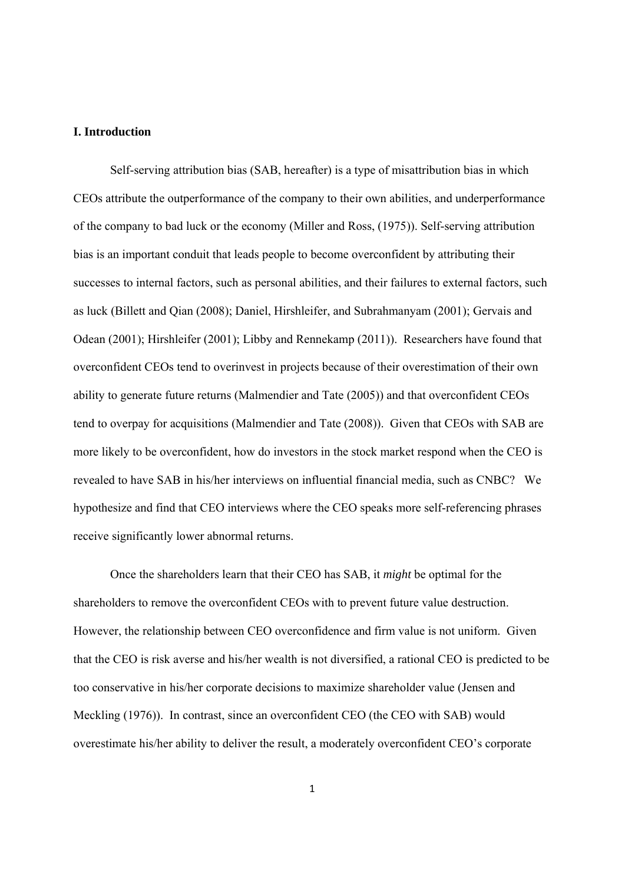#### **I. Introduction**

Self-serving attribution bias (SAB, hereafter) is a type of misattribution bias in which CEOs attribute the outperformance of the company to their own abilities, and underperformance of the company to bad luck or the economy (Miller and Ross, (1975)). Self-serving attribution bias is an important conduit that leads people to become overconfident by attributing their successes to internal factors, such as personal abilities, and their failures to external factors, such as luck (Billett and Qian (2008); Daniel, Hirshleifer, and Subrahmanyam (2001); Gervais and Odean (2001); Hirshleifer (2001); Libby and Rennekamp (2011)). Researchers have found that overconfident CEOs tend to overinvest in projects because of their overestimation of their own ability to generate future returns (Malmendier and Tate (2005)) and that overconfident CEOs tend to overpay for acquisitions (Malmendier and Tate (2008)). Given that CEOs with SAB are more likely to be overconfident, how do investors in the stock market respond when the CEO is revealed to have SAB in his/her interviews on influential financial media, such as CNBC? We hypothesize and find that CEO interviews where the CEO speaks more self-referencing phrases receive significantly lower abnormal returns.

Once the shareholders learn that their CEO has SAB, it *might* be optimal for the shareholders to remove the overconfident CEOs with to prevent future value destruction. However, the relationship between CEO overconfidence and firm value is not uniform. Given that the CEO is risk averse and his/her wealth is not diversified, a rational CEO is predicted to be too conservative in his/her corporate decisions to maximize shareholder value (Jensen and Meckling (1976)). In contrast, since an overconfident CEO (the CEO with SAB) would overestimate his/her ability to deliver the result, a moderately overconfident CEO's corporate

1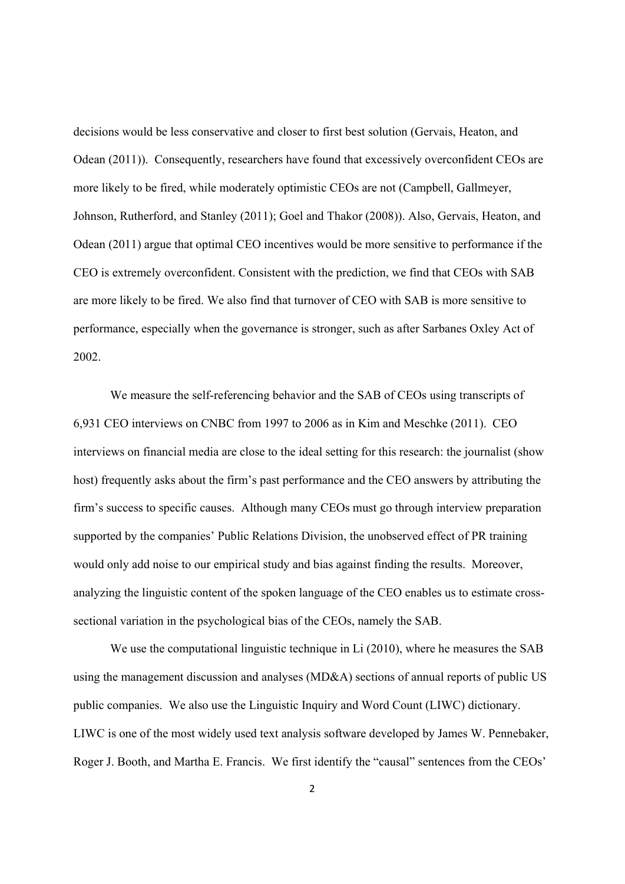decisions would be less conservative and closer to first best solution (Gervais, Heaton, and Odean (2011)). Consequently, researchers have found that excessively overconfident CEOs are more likely to be fired, while moderately optimistic CEOs are not (Campbell, Gallmeyer, Johnson, Rutherford, and Stanley (2011); Goel and Thakor (2008)). Also, Gervais, Heaton, and Odean (2011) argue that optimal CEO incentives would be more sensitive to performance if the CEO is extremely overconfident. Consistent with the prediction, we find that CEOs with SAB are more likely to be fired. We also find that turnover of CEO with SAB is more sensitive to performance, especially when the governance is stronger, such as after Sarbanes Oxley Act of 2002.

We measure the self-referencing behavior and the SAB of CEOs using transcripts of 6,931 CEO interviews on CNBC from 1997 to 2006 as in Kim and Meschke (2011). CEO interviews on financial media are close to the ideal setting for this research: the journalist (show host) frequently asks about the firm's past performance and the CEO answers by attributing the firm's success to specific causes. Although many CEOs must go through interview preparation supported by the companies' Public Relations Division, the unobserved effect of PR training would only add noise to our empirical study and bias against finding the results. Moreover, analyzing the linguistic content of the spoken language of the CEO enables us to estimate crosssectional variation in the psychological bias of the CEOs, namely the SAB.

We use the computational linguistic technique in Li (2010), where he measures the SAB using the management discussion and analyses (MD&A) sections of annual reports of public US public companies. We also use the Linguistic Inquiry and Word Count (LIWC) dictionary. LIWC is one of the most widely used text analysis software developed by James W. Pennebaker, Roger J. Booth, and Martha E. Francis. We first identify the "causal" sentences from the CEOs'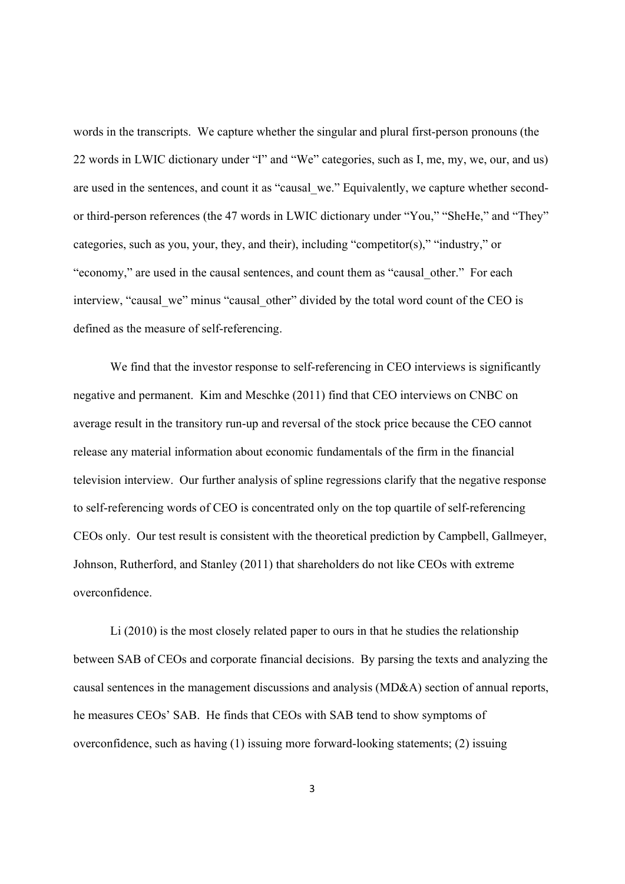words in the transcripts. We capture whether the singular and plural first-person pronouns (the 22 words in LWIC dictionary under "I" and "We" categories, such as I, me, my, we, our, and us) are used in the sentences, and count it as "causal we." Equivalently, we capture whether secondor third-person references (the 47 words in LWIC dictionary under "You," "SheHe," and "They" categories, such as you, your, they, and their), including "competitor(s)," "industry," or "economy," are used in the causal sentences, and count them as "causal\_other." For each interview, "causal we" minus "causal other" divided by the total word count of the CEO is defined as the measure of self-referencing.

We find that the investor response to self-referencing in CEO interviews is significantly negative and permanent. Kim and Meschke (2011) find that CEO interviews on CNBC on average result in the transitory run-up and reversal of the stock price because the CEO cannot release any material information about economic fundamentals of the firm in the financial television interview. Our further analysis of spline regressions clarify that the negative response to self-referencing words of CEO is concentrated only on the top quartile of self-referencing CEOs only. Our test result is consistent with the theoretical prediction by Campbell, Gallmeyer, Johnson, Rutherford, and Stanley (2011) that shareholders do not like CEOs with extreme overconfidence.

Li (2010) is the most closely related paper to ours in that he studies the relationship between SAB of CEOs and corporate financial decisions. By parsing the texts and analyzing the causal sentences in the management discussions and analysis (MD&A) section of annual reports, he measures CEOs' SAB. He finds that CEOs with SAB tend to show symptoms of overconfidence, such as having (1) issuing more forward-looking statements; (2) issuing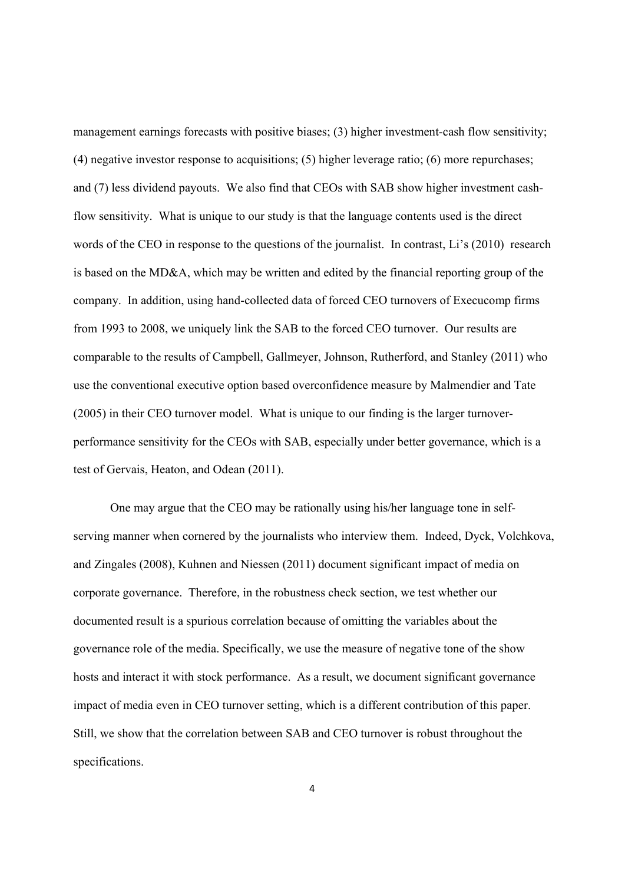management earnings forecasts with positive biases; (3) higher investment-cash flow sensitivity; (4) negative investor response to acquisitions; (5) higher leverage ratio; (6) more repurchases; and (7) less dividend payouts. We also find that CEOs with SAB show higher investment cashflow sensitivity. What is unique to our study is that the language contents used is the direct words of the CEO in response to the questions of the journalist. In contrast, Li's (2010) research is based on the MD&A, which may be written and edited by the financial reporting group of the company. In addition, using hand-collected data of forced CEO turnovers of Execucomp firms from 1993 to 2008, we uniquely link the SAB to the forced CEO turnover. Our results are comparable to the results of Campbell, Gallmeyer, Johnson, Rutherford, and Stanley (2011) who use the conventional executive option based overconfidence measure by Malmendier and Tate (2005) in their CEO turnover model. What is unique to our finding is the larger turnoverperformance sensitivity for the CEOs with SAB, especially under better governance, which is a test of Gervais, Heaton, and Odean (2011).

One may argue that the CEO may be rationally using his/her language tone in selfserving manner when cornered by the journalists who interview them. Indeed, Dyck, Volchkova, and Zingales (2008), Kuhnen and Niessen (2011) document significant impact of media on corporate governance. Therefore, in the robustness check section, we test whether our documented result is a spurious correlation because of omitting the variables about the governance role of the media. Specifically, we use the measure of negative tone of the show hosts and interact it with stock performance. As a result, we document significant governance impact of media even in CEO turnover setting, which is a different contribution of this paper. Still, we show that the correlation between SAB and CEO turnover is robust throughout the specifications.

4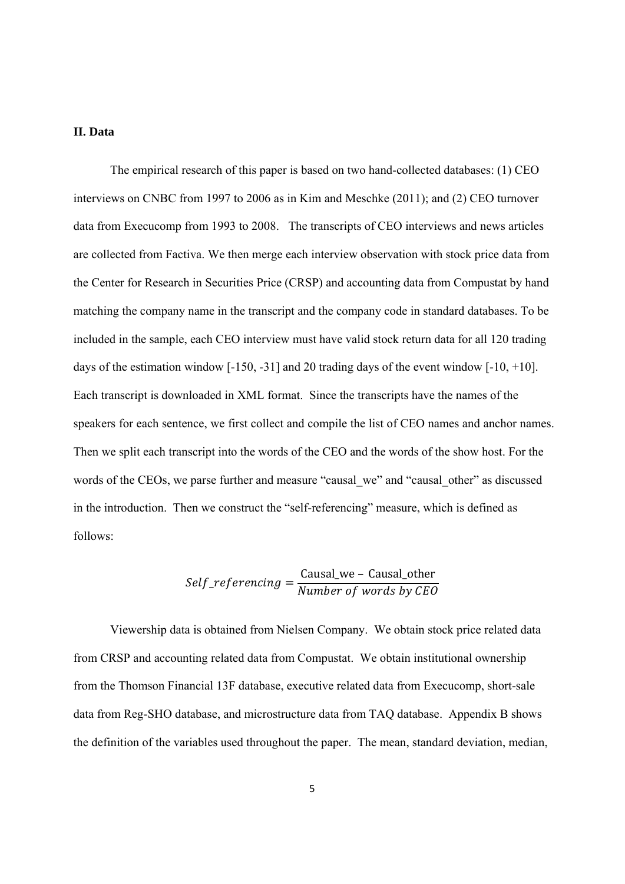# **II. Data**

The empirical research of this paper is based on two hand-collected databases: (1) CEO interviews on CNBC from 1997 to 2006 as in Kim and Meschke (2011); and (2) CEO turnover data from Execucomp from 1993 to 2008. The transcripts of CEO interviews and news articles are collected from Factiva. We then merge each interview observation with stock price data from the Center for Research in Securities Price (CRSP) and accounting data from Compustat by hand matching the company name in the transcript and the company code in standard databases. To be included in the sample, each CEO interview must have valid stock return data for all 120 trading days of the estimation window [-150, -31] and 20 trading days of the event window [-10, +10]. Each transcript is downloaded in XML format. Since the transcripts have the names of the speakers for each sentence, we first collect and compile the list of CEO names and anchor names. Then we split each transcript into the words of the CEO and the words of the show host. For the words of the CEOs, we parse further and measure "causal\_we" and "causal\_other" as discussed in the introduction. Then we construct the "self-referencing" measure, which is defined as follows:

# $Self\_referencing = \frac{Causal\_we - Causal\_other}{Number~of~words~by~CEO}$

Viewership data is obtained from Nielsen Company. We obtain stock price related data from CRSP and accounting related data from Compustat. We obtain institutional ownership from the Thomson Financial 13F database, executive related data from Execucomp, short-sale data from Reg-SHO database, and microstructure data from TAQ database. Appendix B shows the definition of the variables used throughout the paper. The mean, standard deviation, median,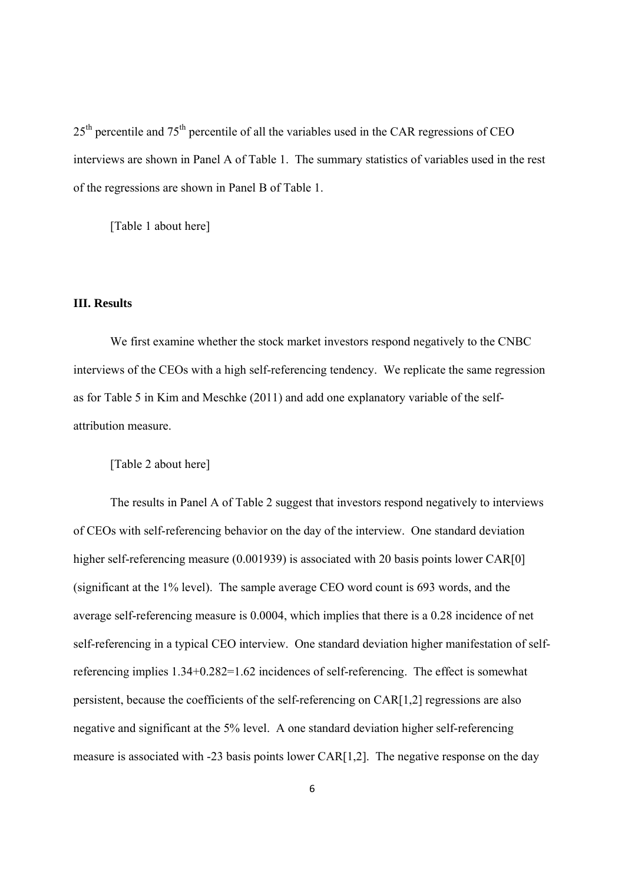$25<sup>th</sup>$  percentile and  $75<sup>th</sup>$  percentile of all the variables used in the CAR regressions of CEO interviews are shown in Panel A of Table 1. The summary statistics of variables used in the rest of the regressions are shown in Panel B of Table 1.

[Table 1 about here]

#### **III. Results**

We first examine whether the stock market investors respond negatively to the CNBC interviews of the CEOs with a high self-referencing tendency. We replicate the same regression as for Table 5 in Kim and Meschke (2011) and add one explanatory variable of the selfattribution measure.

[Table 2 about here]

The results in Panel A of Table 2 suggest that investors respond negatively to interviews of CEOs with self-referencing behavior on the day of the interview. One standard deviation higher self-referencing measure (0.001939) is associated with 20 basis points lower CAR[0] (significant at the 1% level). The sample average CEO word count is 693 words, and the average self-referencing measure is 0.0004, which implies that there is a 0.28 incidence of net self-referencing in a typical CEO interview. One standard deviation higher manifestation of selfreferencing implies 1.34+0.282=1.62 incidences of self-referencing. The effect is somewhat persistent, because the coefficients of the self-referencing on CAR[1,2] regressions are also negative and significant at the 5% level. A one standard deviation higher self-referencing measure is associated with -23 basis points lower CAR[1,2]. The negative response on the day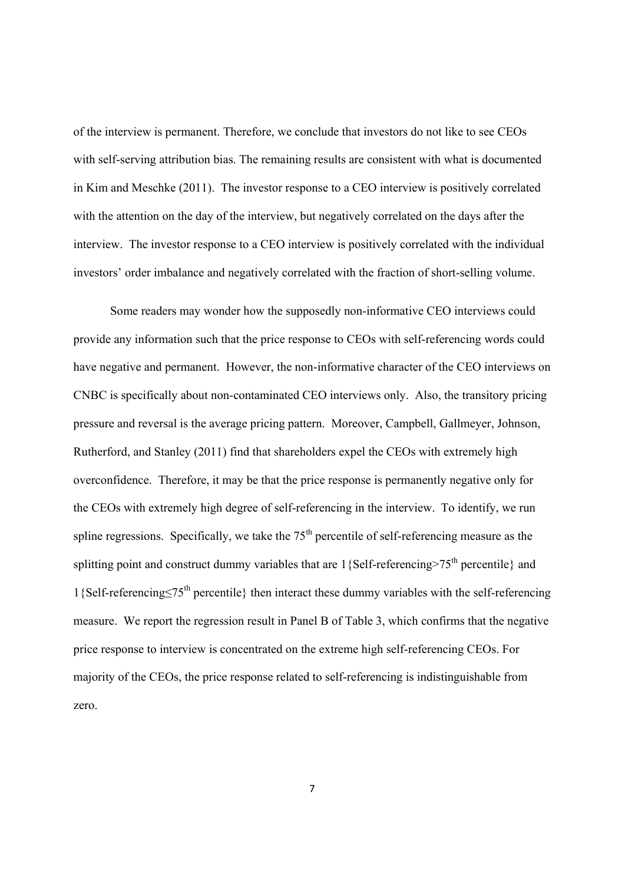of the interview is permanent. Therefore, we conclude that investors do not like to see CEOs with self-serving attribution bias. The remaining results are consistent with what is documented in Kim and Meschke (2011). The investor response to a CEO interview is positively correlated with the attention on the day of the interview, but negatively correlated on the days after the interview. The investor response to a CEO interview is positively correlated with the individual investors' order imbalance and negatively correlated with the fraction of short-selling volume.

Some readers may wonder how the supposedly non-informative CEO interviews could provide any information such that the price response to CEOs with self-referencing words could have negative and permanent. However, the non-informative character of the CEO interviews on CNBC is specifically about non-contaminated CEO interviews only. Also, the transitory pricing pressure and reversal is the average pricing pattern. Moreover, Campbell, Gallmeyer, Johnson, Rutherford, and Stanley (2011) find that shareholders expel the CEOs with extremely high overconfidence. Therefore, it may be that the price response is permanently negative only for the CEOs with extremely high degree of self-referencing in the interview. To identify, we run spline regressions. Specifically, we take the  $75<sup>th</sup>$  percentile of self-referencing measure as the splitting point and construct dummy variables that are  $1$  {Self-referencing>75<sup>th</sup> percentile} and 1{Self-referencing≤75th percentile} then interact these dummy variables with the self-referencing measure. We report the regression result in Panel B of Table 3, which confirms that the negative price response to interview is concentrated on the extreme high self-referencing CEOs. For majority of the CEOs, the price response related to self-referencing is indistinguishable from zero.

7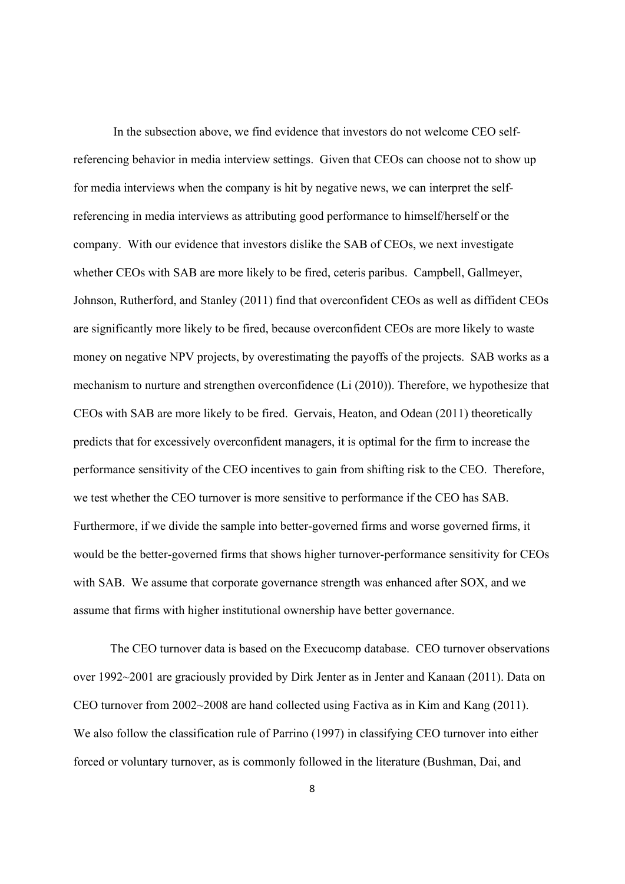In the subsection above, we find evidence that investors do not welcome CEO selfreferencing behavior in media interview settings. Given that CEOs can choose not to show up for media interviews when the company is hit by negative news, we can interpret the selfreferencing in media interviews as attributing good performance to himself/herself or the company. With our evidence that investors dislike the SAB of CEOs, we next investigate whether CEOs with SAB are more likely to be fired, ceteris paribus. Campbell, Gallmeyer, Johnson, Rutherford, and Stanley (2011) find that overconfident CEOs as well as diffident CEOs are significantly more likely to be fired, because overconfident CEOs are more likely to waste money on negative NPV projects, by overestimating the payoffs of the projects. SAB works as a mechanism to nurture and strengthen overconfidence (Li (2010)). Therefore, we hypothesize that CEOs with SAB are more likely to be fired. Gervais, Heaton, and Odean (2011) theoretically predicts that for excessively overconfident managers, it is optimal for the firm to increase the performance sensitivity of the CEO incentives to gain from shifting risk to the CEO. Therefore, we test whether the CEO turnover is more sensitive to performance if the CEO has SAB. Furthermore, if we divide the sample into better-governed firms and worse governed firms, it would be the better-governed firms that shows higher turnover-performance sensitivity for CEOs with SAB. We assume that corporate governance strength was enhanced after SOX, and we assume that firms with higher institutional ownership have better governance.

The CEO turnover data is based on the Execucomp database. CEO turnover observations over 1992~2001 are graciously provided by Dirk Jenter as in Jenter and Kanaan (2011). Data on CEO turnover from 2002~2008 are hand collected using Factiva as in Kim and Kang (2011). We also follow the classification rule of Parrino (1997) in classifying CEO turnover into either forced or voluntary turnover, as is commonly followed in the literature (Bushman, Dai, and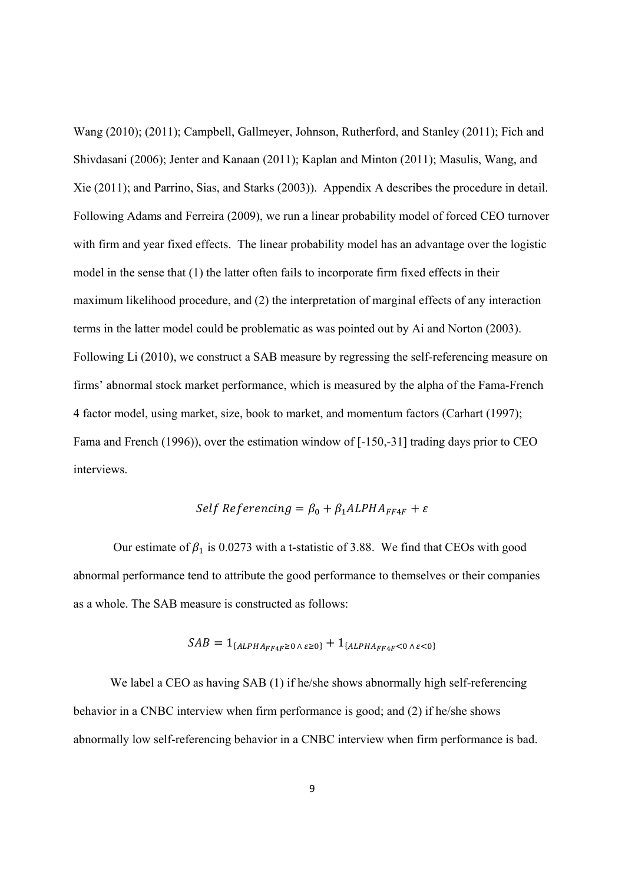Wang (2010); (2011); Campbell, Gallmeyer, Johnson, Rutherford, and Stanley (2011); Fich and Shivdasani (2006); Jenter and Kanaan (2011); Kaplan and Minton (2011); Masulis, Wang, and Xie (2011); and Parrino, Sias, and Starks (2003)). Appendix A describes the procedure in detail. Following Adams and Ferreira (2009), we run a linear probability model of forced CEO turnover with firm and year fixed effects. The linear probability model has an advantage over the logistic model in the sense that (1) the latter often fails to incorporate firm fixed effects in their maximum likelihood procedure, and (2) the interpretation of marginal effects of any interaction terms in the latter model could be problematic as was pointed out by Ai and Norton (2003). Following Li (2010), we construct a SAB measure by regressing the self-referencing measure on firms' abnormal stock market performance, which is measured by the alpha of the Fama-French 4 factor model, using market, size, book to market, and momentum factors (Carhart (1997); Fama and French (1996)), over the estimation window of [-150,-31] trading days prior to CEO interviews.

# Self Referencing =  $\beta_0 + \beta_1 A L P H A_{FF4F} + \varepsilon$

Our estimate of  $\beta_1$  is 0.0273 with a t-statistic of 3.88. We find that CEOs with good abnormal performance tend to attribute the good performance to themselves or their companies as a whole. The SAB measure is constructed as follows:

$$
SAB = 1_{\{ALPHA_{FF4F} \ge 0 \land \varepsilon \ge 0\}} + 1_{\{ALPHA_{FF4F} \le 0 \land \varepsilon \le 0\}}
$$

We label a CEO as having SAB (1) if he/she shows abnormally high self-referencing behavior in a CNBC interview when firm performance is good; and (2) if he/she shows abnormally low self-referencing behavior in a CNBC interview when firm performance is bad.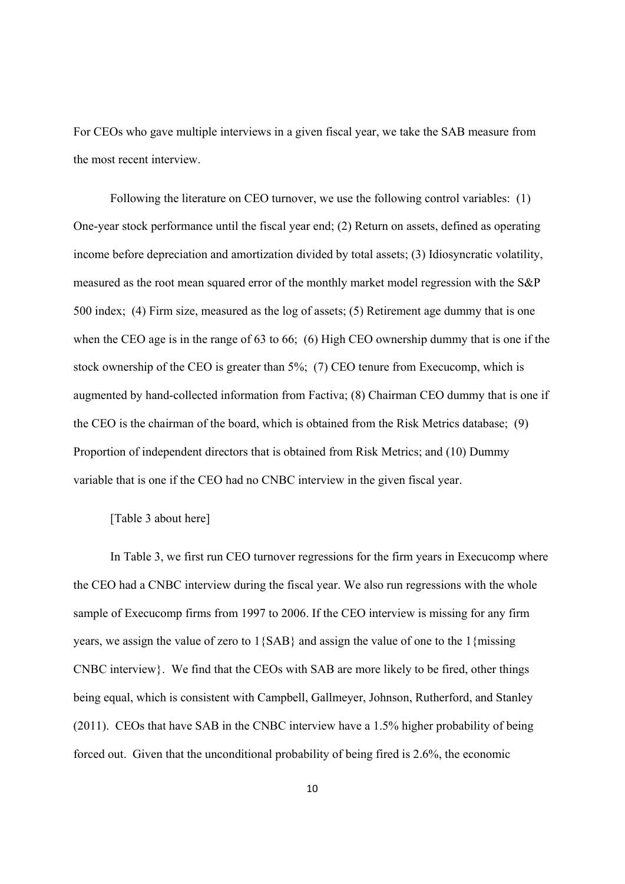For CEOs who gave multiple interviews in a given fiscal year, we take the SAB measure from the most recent interview.

Following the literature on CEO turnover, we use the following control variables: (1) One-year stock performance until the fiscal year end; (2) Return on assets, defined as operating income before depreciation and amortization divided by total assets; (3) Idiosyncratic volatility, measured as the root mean squared error of the monthly market model regression with the S&P 500 index; (4) Firm size, measured as the log of assets; (5) Retirement age dummy that is one when the CEO age is in the range of 63 to 66; (6) High CEO ownership dummy that is one if the stock ownership of the CEO is greater than 5%; (7) CEO tenure from Execucomp, which is augmented by hand-collected information from Factiva; (8) Chairman CEO dummy that is one if the CEO is the chairman of the board, which is obtained from the Risk Metrics database; (9) Proportion of independent directors that is obtained from Risk Metrics; and (10) Dummy variable that is one if the CEO had no CNBC interview in the given fiscal year.

#### [Table 3 about here]

In Table 3, we first run CEO turnover regressions for the firm years in Execucomp where the CEO had a CNBC interview during the fiscal year. We also run regressions with the whole sample of Execucomp firms from 1997 to 2006. If the CEO interview is missing for any firm years, we assign the value of zero to 1{SAB} and assign the value of one to the 1{missing CNBC interview}. We find that the CEOs with SAB are more likely to be fired, other things being equal, which is consistent with Campbell, Gallmeyer, Johnson, Rutherford, and Stanley (2011). CEOs that have SAB in the CNBC interview have a 1.5% higher probability of being forced out. Given that the unconditional probability of being fired is 2.6%, the economic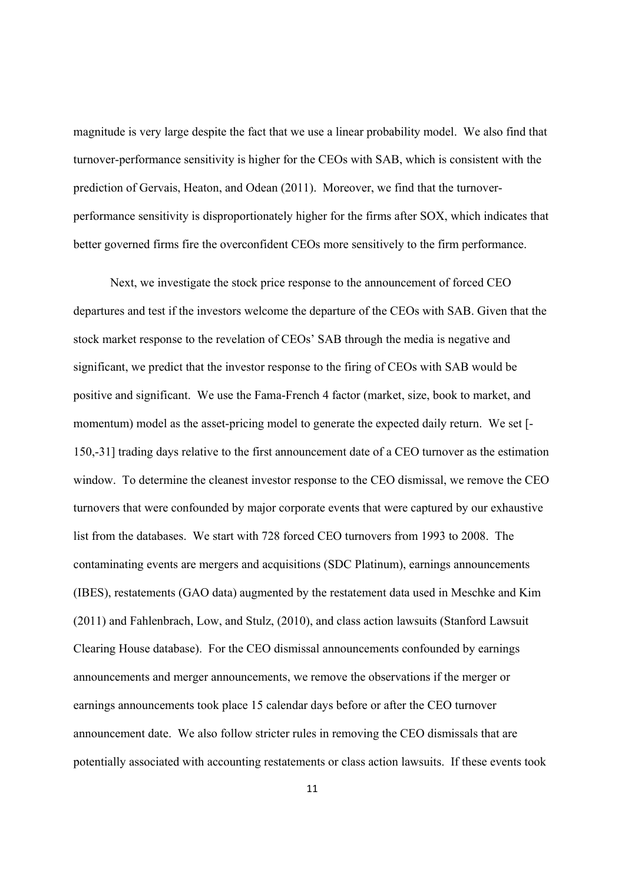magnitude is very large despite the fact that we use a linear probability model. We also find that turnover-performance sensitivity is higher for the CEOs with SAB, which is consistent with the prediction of Gervais, Heaton, and Odean (2011). Moreover, we find that the turnoverperformance sensitivity is disproportionately higher for the firms after SOX, which indicates that better governed firms fire the overconfident CEOs more sensitively to the firm performance.

Next, we investigate the stock price response to the announcement of forced CEO departures and test if the investors welcome the departure of the CEOs with SAB. Given that the stock market response to the revelation of CEOs' SAB through the media is negative and significant, we predict that the investor response to the firing of CEOs with SAB would be positive and significant. We use the Fama-French 4 factor (market, size, book to market, and momentum) model as the asset-pricing model to generate the expected daily return. We set [- 150,-31] trading days relative to the first announcement date of a CEO turnover as the estimation window. To determine the cleanest investor response to the CEO dismissal, we remove the CEO turnovers that were confounded by major corporate events that were captured by our exhaustive list from the databases. We start with 728 forced CEO turnovers from 1993 to 2008. The contaminating events are mergers and acquisitions (SDC Platinum), earnings announcements (IBES), restatements (GAO data) augmented by the restatement data used in Meschke and Kim (2011) and Fahlenbrach, Low, and Stulz, (2010), and class action lawsuits (Stanford Lawsuit Clearing House database). For the CEO dismissal announcements confounded by earnings announcements and merger announcements, we remove the observations if the merger or earnings announcements took place 15 calendar days before or after the CEO turnover announcement date. We also follow stricter rules in removing the CEO dismissals that are potentially associated with accounting restatements or class action lawsuits. If these events took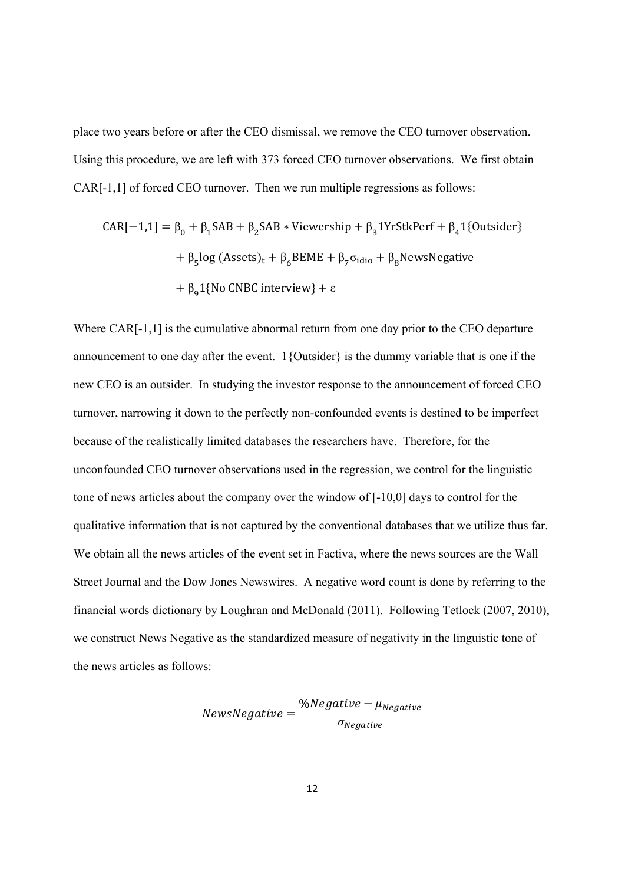place two years before or after the CEO dismissal, we remove the CEO turnover observation. Using this procedure, we are left with 373 forced CEO turnover observations. We first obtain CAR[-1,1] of forced CEO turnover. Then we run multiple regressions as follows:

$$
CAR[-1,1] = β0 + β1SAB + β2SAB * Viewership + β31YrStkPerf + β41{Outsider}
$$
  
+ β<sub>5</sub>log (Assets)<sub>t</sub> + β<sub>6</sub>BEME + β<sub>7</sub>σ<sub>idio</sub> + β<sub>8</sub>NewsNegative  
+ β<sub>9</sub>1{No CNEC interview} + ε

Where CAR[-1,1] is the cumulative abnormal return from one day prior to the CEO departure announcement to one day after the event. 1{Outsider} is the dummy variable that is one if the new CEO is an outsider. In studying the investor response to the announcement of forced CEO turnover, narrowing it down to the perfectly non-confounded events is destined to be imperfect because of the realistically limited databases the researchers have. Therefore, for the unconfounded CEO turnover observations used in the regression, we control for the linguistic tone of news articles about the company over the window of [-10,0] days to control for the qualitative information that is not captured by the conventional databases that we utilize thus far. We obtain all the news articles of the event set in Factiva, where the news sources are the Wall Street Journal and the Dow Jones Newswires. A negative word count is done by referring to the financial words dictionary by Loughran and McDonald (2011). Following Tetlock (2007, 2010), we construct News Negative as the standardized measure of negativity in the linguistic tone of the news articles as follows:

$$
NewsNegative = \frac{\% Negative - \mu_{Negative}}{\sigma_{Negative}}
$$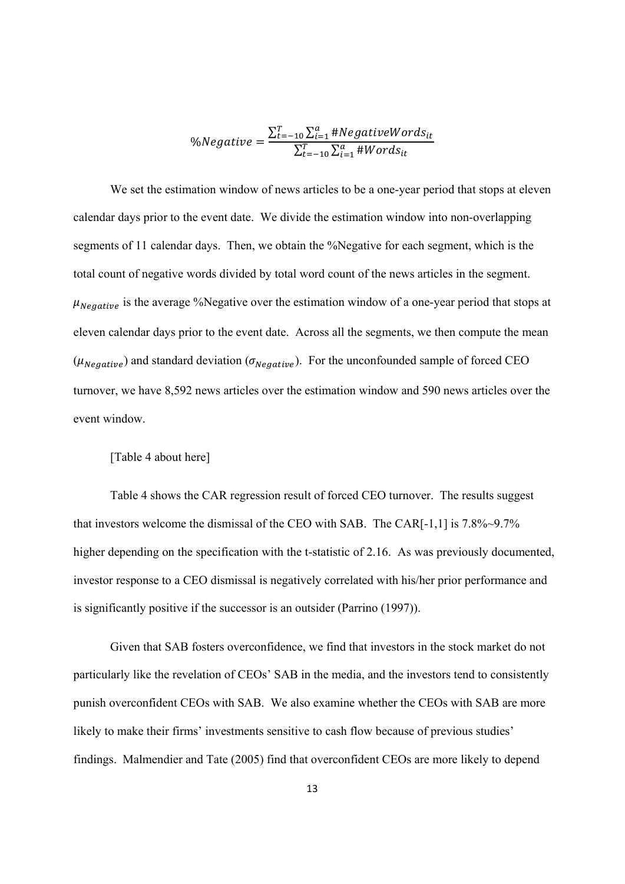$$
\% Negative = \frac{\sum_{t=-10}^{T} \sum_{i=1}^{a} #NegativeWords_{it}}{\sum_{t=-10}^{T} \sum_{i=1}^{a} #Words_{it}}
$$

We set the estimation window of news articles to be a one-year period that stops at eleven calendar days prior to the event date. We divide the estimation window into non-overlapping segments of 11 calendar days. Then, we obtain the %Negative for each segment, which is the total count of negative words divided by total word count of the news articles in the segment.  $\mu_{Ne\,ative}$  is the average %Negative over the estimation window of a one-year period that stops at eleven calendar days prior to the event date. Across all the segments, we then compute the mean ( $\mu_{Negative}$ ) and standard deviation ( $\sigma_{Negative}$ ). For the unconfounded sample of forced CEO turnover, we have 8,592 news articles over the estimation window and 590 news articles over the event window.

#### [Table 4 about here]

Table 4 shows the CAR regression result of forced CEO turnover. The results suggest that investors welcome the dismissal of the CEO with SAB. The CAR[-1,1] is 7.8%~9.7% higher depending on the specification with the t-statistic of 2.16. As was previously documented, investor response to a CEO dismissal is negatively correlated with his/her prior performance and is significantly positive if the successor is an outsider (Parrino (1997)).

Given that SAB fosters overconfidence, we find that investors in the stock market do not particularly like the revelation of CEOs' SAB in the media, and the investors tend to consistently punish overconfident CEOs with SAB. We also examine whether the CEOs with SAB are more likely to make their firms' investments sensitive to cash flow because of previous studies' findings. Malmendier and Tate (2005) find that overconfident CEOs are more likely to depend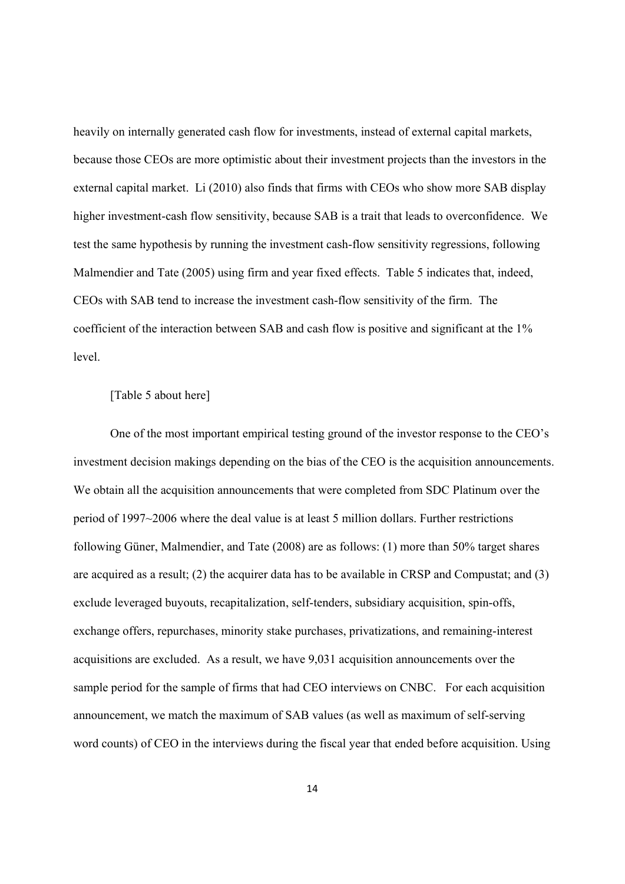heavily on internally generated cash flow for investments, instead of external capital markets, because those CEOs are more optimistic about their investment projects than the investors in the external capital market. Li (2010) also finds that firms with CEOs who show more SAB display higher investment-cash flow sensitivity, because SAB is a trait that leads to overconfidence. We test the same hypothesis by running the investment cash-flow sensitivity regressions, following Malmendier and Tate (2005) using firm and year fixed effects. Table 5 indicates that, indeed, CEOs with SAB tend to increase the investment cash-flow sensitivity of the firm. The coefficient of the interaction between SAB and cash flow is positive and significant at the 1% level.

## [Table 5 about here]

One of the most important empirical testing ground of the investor response to the CEO's investment decision makings depending on the bias of the CEO is the acquisition announcements. We obtain all the acquisition announcements that were completed from SDC Platinum over the period of 1997~2006 where the deal value is at least 5 million dollars. Further restrictions following Güner, Malmendier, and Tate (2008) are as follows: (1) more than 50% target shares are acquired as a result; (2) the acquirer data has to be available in CRSP and Compustat; and (3) exclude leveraged buyouts, recapitalization, self-tenders, subsidiary acquisition, spin-offs, exchange offers, repurchases, minority stake purchases, privatizations, and remaining-interest acquisitions are excluded. As a result, we have 9,031 acquisition announcements over the sample period for the sample of firms that had CEO interviews on CNBC. For each acquisition announcement, we match the maximum of SAB values (as well as maximum of self-serving word counts) of CEO in the interviews during the fiscal year that ended before acquisition. Using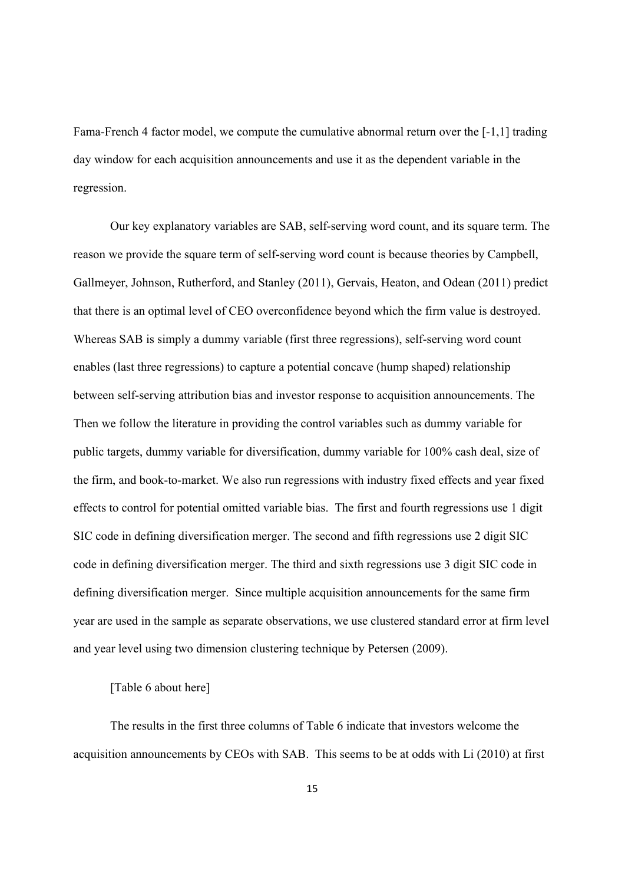Fama-French 4 factor model, we compute the cumulative abnormal return over the [-1,1] trading day window for each acquisition announcements and use it as the dependent variable in the regression.

Our key explanatory variables are SAB, self-serving word count, and its square term. The reason we provide the square term of self-serving word count is because theories by Campbell, Gallmeyer, Johnson, Rutherford, and Stanley (2011), Gervais, Heaton, and Odean (2011) predict that there is an optimal level of CEO overconfidence beyond which the firm value is destroyed. Whereas SAB is simply a dummy variable (first three regressions), self-serving word count enables (last three regressions) to capture a potential concave (hump shaped) relationship between self-serving attribution bias and investor response to acquisition announcements. The Then we follow the literature in providing the control variables such as dummy variable for public targets, dummy variable for diversification, dummy variable for 100% cash deal, size of the firm, and book-to-market. We also run regressions with industry fixed effects and year fixed effects to control for potential omitted variable bias. The first and fourth regressions use 1 digit SIC code in defining diversification merger. The second and fifth regressions use 2 digit SIC code in defining diversification merger. The third and sixth regressions use 3 digit SIC code in defining diversification merger. Since multiple acquisition announcements for the same firm year are used in the sample as separate observations, we use clustered standard error at firm level and year level using two dimension clustering technique by Petersen (2009).

## [Table 6 about here]

The results in the first three columns of Table 6 indicate that investors welcome the acquisition announcements by CEOs with SAB. This seems to be at odds with Li (2010) at first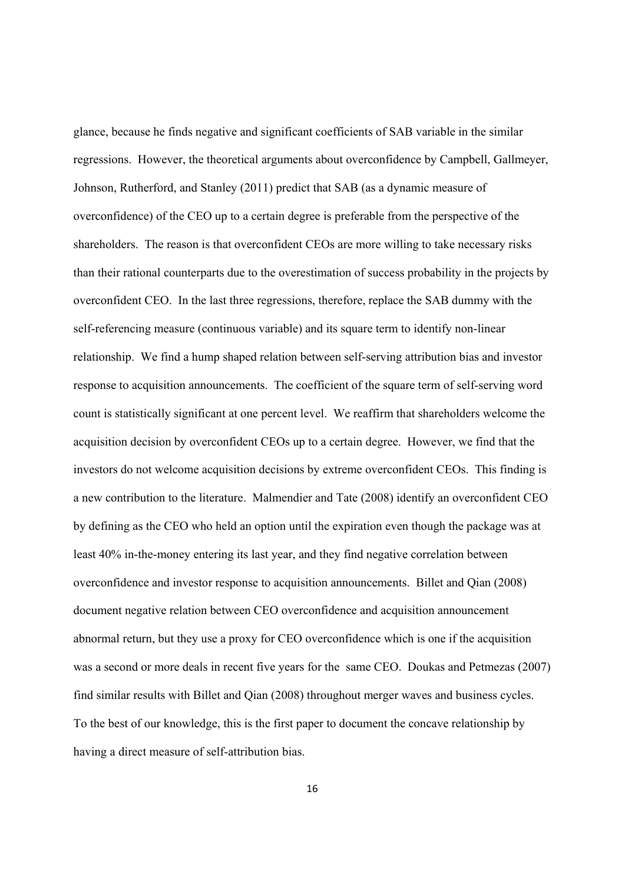glance, because he finds negative and significant coefficients of SAB variable in the similar regressions. However, the theoretical arguments about overconfidence by Campbell, Gallmeyer, Johnson, Rutherford, and Stanley (2011) predict that SAB (as a dynamic measure of overconfidence) of the CEO up to a certain degree is preferable from the perspective of the shareholders. The reason is that overconfident CEOs are more willing to take necessary risks than their rational counterparts due to the overestimation of success probability in the projects by overconfident CEO. In the last three regressions, therefore, replace the SAB dummy with the self-referencing measure (continuous variable) and its square term to identify non-linear relationship. We find a hump shaped relation between self-serving attribution bias and investor response to acquisition announcements. The coefficient of the square term of self-serving word count is statistically significant at one percent level. We reaffirm that shareholders welcome the acquisition decision by overconfident CEOs up to a certain degree. However, we find that the investors do not welcome acquisition decisions by extreme overconfident CEOs. This finding is a new contribution to the literature. Malmendier and Tate (2008) identify an overconfident CEO by defining as the CEO who held an option until the expiration even though the package was at least 40% in-the-money entering its last year, and they find negative correlation between overconfidence and investor response to acquisition announcements. Billet and Qian (2008) document negative relation between CEO overconfidence and acquisition announcement abnormal return, but they use a proxy for CEO overconfidence which is one if the acquisition was a second or more deals in recent five years for the same CEO. Doukas and Petmezas (2007) find similar results with Billet and Qian (2008) throughout merger waves and business cycles. To the best of our knowledge, this is the first paper to document the concave relationship by having a direct measure of self-attribution bias.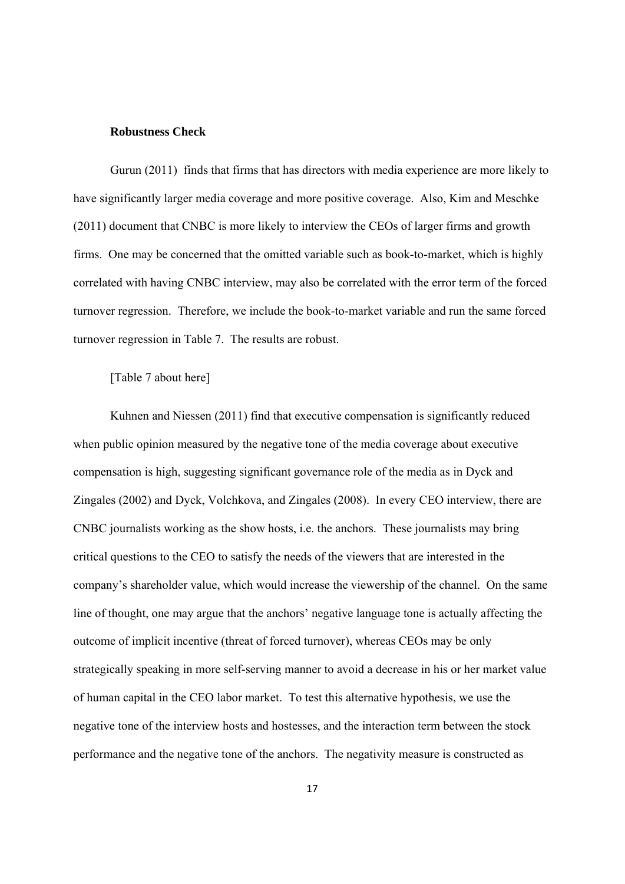#### **Robustness Check**

Gurun (2011) finds that firms that has directors with media experience are more likely to have significantly larger media coverage and more positive coverage. Also, Kim and Meschke (2011) document that CNBC is more likely to interview the CEOs of larger firms and growth firms. One may be concerned that the omitted variable such as book-to-market, which is highly correlated with having CNBC interview, may also be correlated with the error term of the forced turnover regression. Therefore, we include the book-to-market variable and run the same forced turnover regression in Table 7. The results are robust.

### [Table 7 about here]

Kuhnen and Niessen (2011) find that executive compensation is significantly reduced when public opinion measured by the negative tone of the media coverage about executive compensation is high, suggesting significant governance role of the media as in Dyck and Zingales (2002) and Dyck, Volchkova, and Zingales (2008). In every CEO interview, there are CNBC journalists working as the show hosts, i.e. the anchors. These journalists may bring critical questions to the CEO to satisfy the needs of the viewers that are interested in the company's shareholder value, which would increase the viewership of the channel. On the same line of thought, one may argue that the anchors' negative language tone is actually affecting the outcome of implicit incentive (threat of forced turnover), whereas CEOs may be only strategically speaking in more self-serving manner to avoid a decrease in his or her market value of human capital in the CEO labor market. To test this alternative hypothesis, we use the negative tone of the interview hosts and hostesses, and the interaction term between the stock performance and the negative tone of the anchors. The negativity measure is constructed as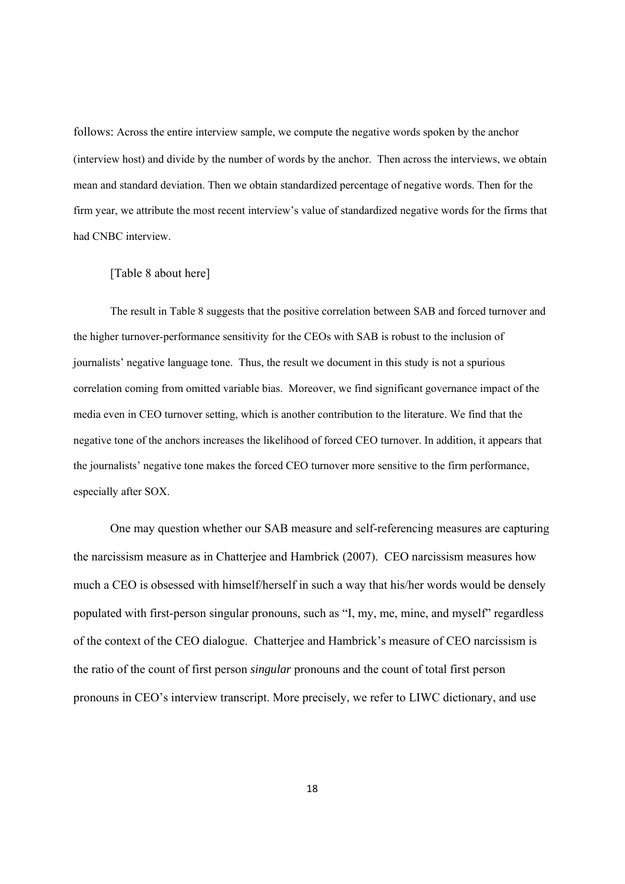follows: Across the entire interview sample, we compute the negative words spoken by the anchor (interview host) and divide by the number of words by the anchor. Then across the interviews, we obtain mean and standard deviation. Then we obtain standardized percentage of negative words. Then for the firm year, we attribute the most recent interview's value of standardized negative words for the firms that had CNBC interview.

#### [Table 8 about here]

The result in Table 8 suggests that the positive correlation between SAB and forced turnover and the higher turnover-performance sensitivity for the CEOs with SAB is robust to the inclusion of journalists' negative language tone. Thus, the result we document in this study is not a spurious correlation coming from omitted variable bias. Moreover, we find significant governance impact of the media even in CEO turnover setting, which is another contribution to the literature. We find that the negative tone of the anchors increases the likelihood of forced CEO turnover. In addition, it appears that the journalists' negative tone makes the forced CEO turnover more sensitive to the firm performance, especially after SOX.

One may question whether our SAB measure and self-referencing measures are capturing the narcissism measure as in Chatterjee and Hambrick (2007). CEO narcissism measures how much a CEO is obsessed with himself/herself in such a way that his/her words would be densely populated with first-person singular pronouns, such as "I, my, me, mine, and myself" regardless of the context of the CEO dialogue. Chatterjee and Hambrick's measure of CEO narcissism is the ratio of the count of first person *singular* pronouns and the count of total first person pronouns in CEO's interview transcript. More precisely, we refer to LIWC dictionary, and use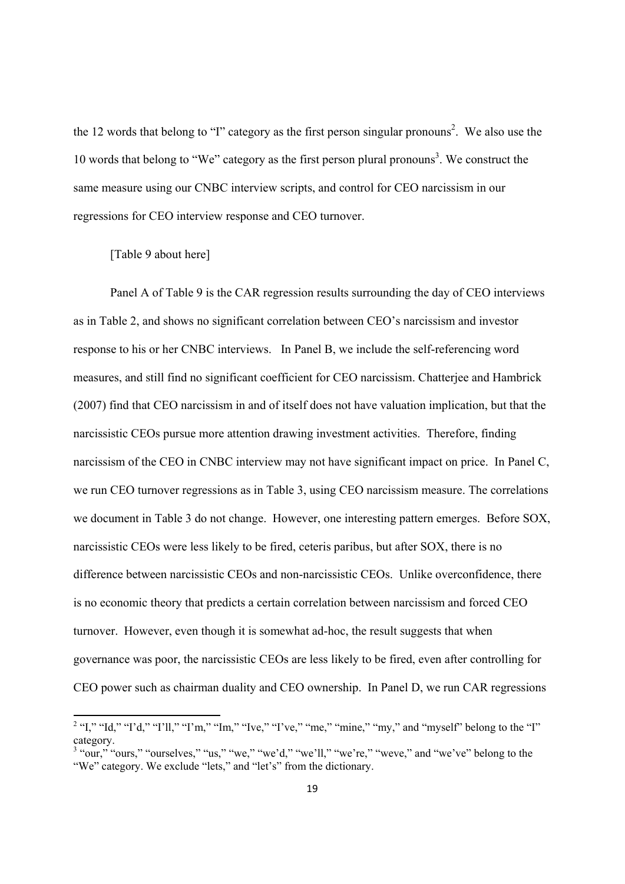the 12 words that belong to "I" category as the first person singular pronouns<sup>2</sup>. We also use the 10 words that belong to "We" category as the first person plural pronouns<sup>3</sup>. We construct the same measure using our CNBC interview scripts, and control for CEO narcissism in our regressions for CEO interview response and CEO turnover.

#### [Table 9 about here]

Panel A of Table 9 is the CAR regression results surrounding the day of CEO interviews as in Table 2, and shows no significant correlation between CEO's narcissism and investor response to his or her CNBC interviews. In Panel B, we include the self-referencing word measures, and still find no significant coefficient for CEO narcissism. Chatterjee and Hambrick (2007) find that CEO narcissism in and of itself does not have valuation implication, but that the narcissistic CEOs pursue more attention drawing investment activities. Therefore, finding narcissism of the CEO in CNBC interview may not have significant impact on price. In Panel C, we run CEO turnover regressions as in Table 3, using CEO narcissism measure. The correlations we document in Table 3 do not change. However, one interesting pattern emerges. Before SOX, narcissistic CEOs were less likely to be fired, ceteris paribus, but after SOX, there is no difference between narcissistic CEOs and non-narcissistic CEOs. Unlike overconfidence, there is no economic theory that predicts a certain correlation between narcissism and forced CEO turnover. However, even though it is somewhat ad-hoc, the result suggests that when governance was poor, the narcissistic CEOs are less likely to be fired, even after controlling for CEO power such as chairman duality and CEO ownership. In Panel D, we run CAR regressions

<sup>&</sup>lt;sup>2</sup> "I," "Id," "I'd," "I'll," "I'm," "Im," "Ive," "I've," "me," "mine," "my," and "myself" belong to the "I" category.

<sup>&</sup>lt;sup>3</sup> "our," "ours," "ourselves," "us," "we," "we'd," "we'll," "we're," "weve," and "we've" belong to the "We" category. We exclude "lets," and "let's" from the dictionary.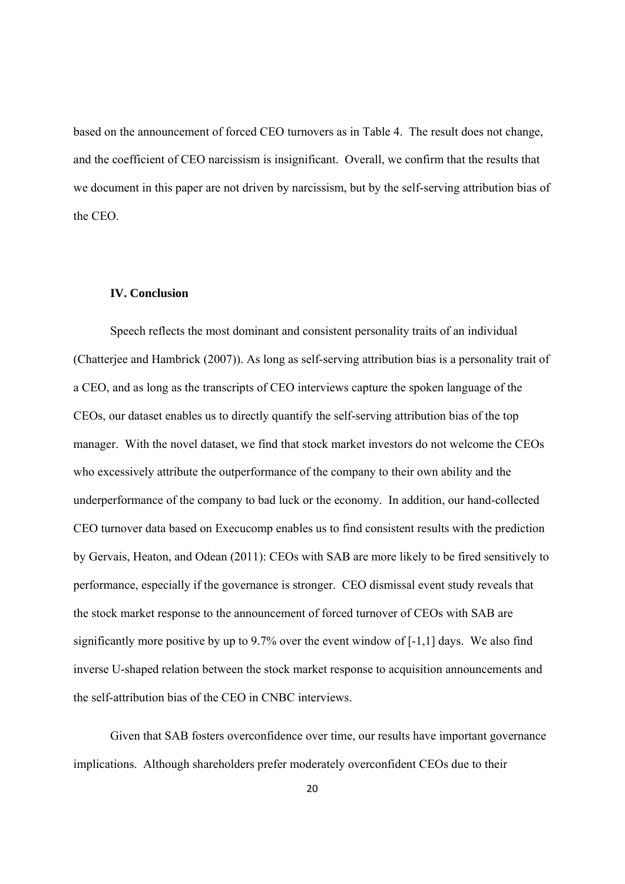based on the announcement of forced CEO turnovers as in Table 4. The result does not change, and the coefficient of CEO narcissism is insignificant. Overall, we confirm that the results that we document in this paper are not driven by narcissism, but by the self-serving attribution bias of the CEO.

# **IV. Conclusion**

Speech reflects the most dominant and consistent personality traits of an individual (Chatterjee and Hambrick (2007)). As long as self-serving attribution bias is a personality trait of a CEO, and as long as the transcripts of CEO interviews capture the spoken language of the CEOs, our dataset enables us to directly quantify the self-serving attribution bias of the top manager. With the novel dataset, we find that stock market investors do not welcome the CEOs who excessively attribute the outperformance of the company to their own ability and the underperformance of the company to bad luck or the economy. In addition, our hand-collected CEO turnover data based on Execucomp enables us to find consistent results with the prediction by Gervais, Heaton, and Odean (2011): CEOs with SAB are more likely to be fired sensitively to performance, especially if the governance is stronger. CEO dismissal event study reveals that the stock market response to the announcement of forced turnover of CEOs with SAB are significantly more positive by up to 9.7% over the event window of [-1,1] days. We also find inverse U-shaped relation between the stock market response to acquisition announcements and the self-attribution bias of the CEO in CNBC interviews.

Given that SAB fosters overconfidence over time, our results have important governance implications. Although shareholders prefer moderately overconfident CEOs due to their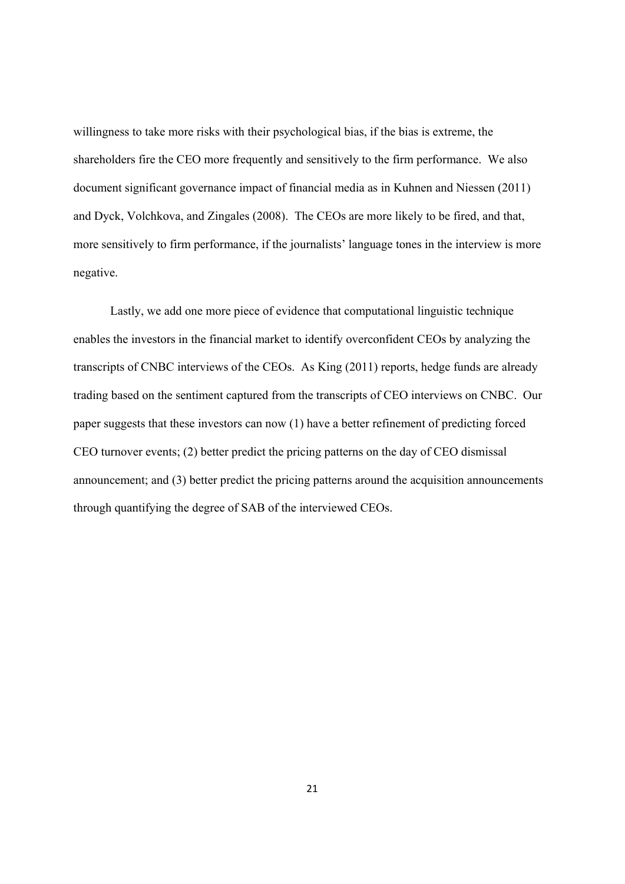willingness to take more risks with their psychological bias, if the bias is extreme, the shareholders fire the CEO more frequently and sensitively to the firm performance. We also document significant governance impact of financial media as in Kuhnen and Niessen (2011) and Dyck, Volchkova, and Zingales (2008). The CEOs are more likely to be fired, and that, more sensitively to firm performance, if the journalists' language tones in the interview is more negative.

Lastly, we add one more piece of evidence that computational linguistic technique enables the investors in the financial market to identify overconfident CEOs by analyzing the transcripts of CNBC interviews of the CEOs. As King (2011) reports, hedge funds are already trading based on the sentiment captured from the transcripts of CEO interviews on CNBC. Our paper suggests that these investors can now (1) have a better refinement of predicting forced CEO turnover events; (2) better predict the pricing patterns on the day of CEO dismissal announcement; and (3) better predict the pricing patterns around the acquisition announcements through quantifying the degree of SAB of the interviewed CEOs.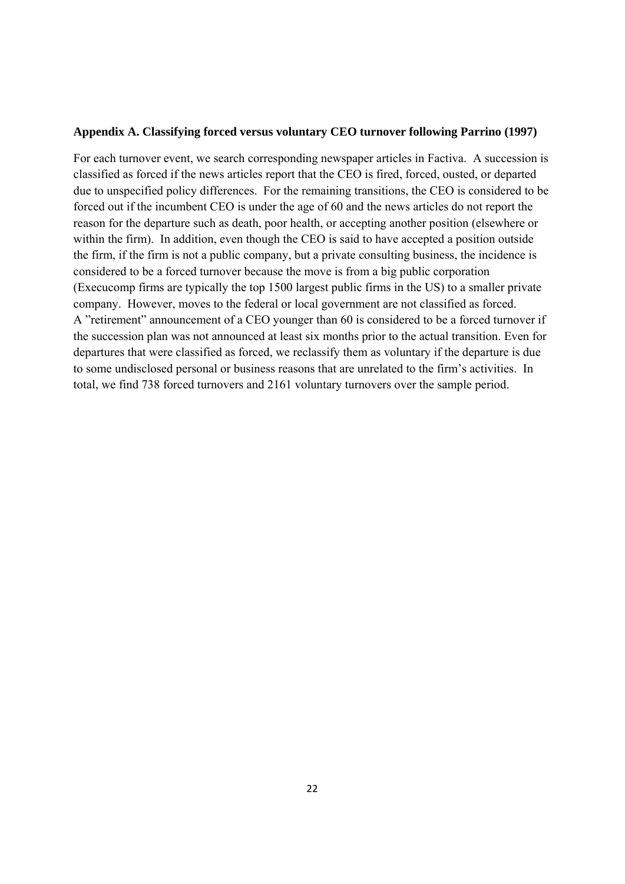#### **Appendix A. Classifying forced versus voluntary CEO turnover following Parrino (1997)**

For each turnover event, we search corresponding newspaper articles in Factiva. A succession is classified as forced if the news articles report that the CEO is fired, forced, ousted, or departed due to unspecified policy differences. For the remaining transitions, the CEO is considered to be forced out if the incumbent CEO is under the age of 60 and the news articles do not report the reason for the departure such as death, poor health, or accepting another position (elsewhere or within the firm). In addition, even though the CEO is said to have accepted a position outside the firm, if the firm is not a public company, but a private consulting business, the incidence is considered to be a forced turnover because the move is from a big public corporation (Execucomp firms are typically the top 1500 largest public firms in the US) to a smaller private company. However, moves to the federal or local government are not classified as forced. A "retirement" announcement of a CEO younger than 60 is considered to be a forced turnover if the succession plan was not announced at least six months prior to the actual transition. Even for departures that were classified as forced, we reclassify them as voluntary if the departure is due to some undisclosed personal or business reasons that are unrelated to the firm's activities. In total, we find 738 forced turnovers and 2161 voluntary turnovers over the sample period.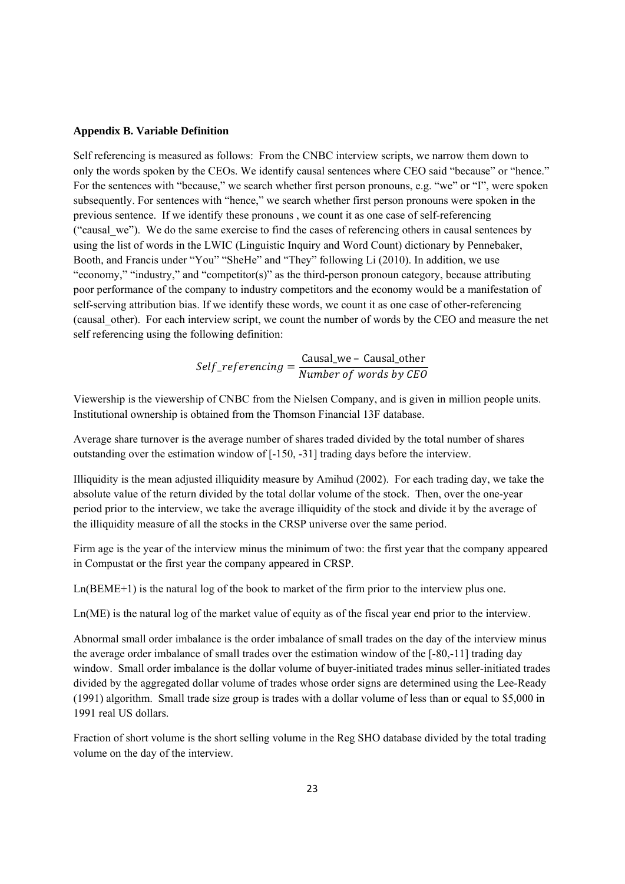#### **Appendix B. Variable Definition**

Self referencing is measured as follows: From the CNBC interview scripts, we narrow them down to only the words spoken by the CEOs. We identify causal sentences where CEO said "because" or "hence." For the sentences with "because," we search whether first person pronouns, e.g. "we" or "I", were spoken subsequently. For sentences with "hence," we search whether first person pronouns were spoken in the previous sentence. If we identify these pronouns , we count it as one case of self-referencing ("causal\_we"). We do the same exercise to find the cases of referencing others in causal sentences by using the list of words in the LWIC (Linguistic Inquiry and Word Count) dictionary by Pennebaker, Booth, and Francis under "You" "SheHe" and "They" following Li (2010). In addition, we use "economy," "industry," and "competitor(s)" as the third-person pronoun category, because attributing poor performance of the company to industry competitors and the economy would be a manifestation of self-serving attribution bias. If we identify these words, we count it as one case of other-referencing (causal\_other). For each interview script, we count the number of words by the CEO and measure the net self referencing using the following definition:

 $Self\_referencing = \frac{Causal\_we - Causal\_other}{Number~of~words~by~CEO}$ 

Viewership is the viewership of CNBC from the Nielsen Company, and is given in million people units. Institutional ownership is obtained from the Thomson Financial 13F database.

Average share turnover is the average number of shares traded divided by the total number of shares outstanding over the estimation window of [-150, -31] trading days before the interview.

Illiquidity is the mean adjusted illiquidity measure by Amihud (2002). For each trading day, we take the absolute value of the return divided by the total dollar volume of the stock. Then, over the one-year period prior to the interview, we take the average illiquidity of the stock and divide it by the average of the illiquidity measure of all the stocks in the CRSP universe over the same period.

Firm age is the year of the interview minus the minimum of two: the first year that the company appeared in Compustat or the first year the company appeared in CRSP.

Ln(BEME+1) is the natural log of the book to market of the firm prior to the interview plus one.

Ln(ME) is the natural log of the market value of equity as of the fiscal year end prior to the interview.

Abnormal small order imbalance is the order imbalance of small trades on the day of the interview minus the average order imbalance of small trades over the estimation window of the [-80,-11] trading day window. Small order imbalance is the dollar volume of buyer-initiated trades minus seller-initiated trades divided by the aggregated dollar volume of trades whose order signs are determined using the Lee-Ready (1991) algorithm. Small trade size group is trades with a dollar volume of less than or equal to \$5,000 in 1991 real US dollars.

Fraction of short volume is the short selling volume in the Reg SHO database divided by the total trading volume on the day of the interview.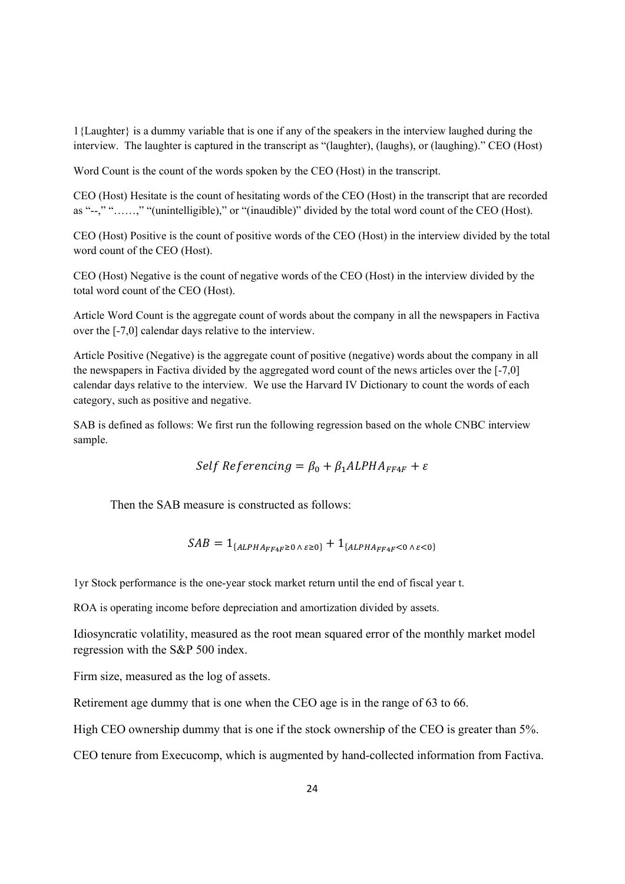1{Laughter} is a dummy variable that is one if any of the speakers in the interview laughed during the interview. The laughter is captured in the transcript as "(laughter), (laughs), or (laughing)." CEO (Host)

Word Count is the count of the words spoken by the CEO (Host) in the transcript.

CEO (Host) Hesitate is the count of hesitating words of the CEO (Host) in the transcript that are recorded as "--," "……," "(unintelligible)," or "(inaudible)" divided by the total word count of the CEO (Host).

CEO (Host) Positive is the count of positive words of the CEO (Host) in the interview divided by the total word count of the CEO (Host).

CEO (Host) Negative is the count of negative words of the CEO (Host) in the interview divided by the total word count of the CEO (Host).

Article Word Count is the aggregate count of words about the company in all the newspapers in Factiva over the [-7,0] calendar days relative to the interview.

Article Positive (Negative) is the aggregate count of positive (negative) words about the company in all the newspapers in Factiva divided by the aggregated word count of the news articles over the [-7,0] calendar days relative to the interview. We use the Harvard IV Dictionary to count the words of each category, such as positive and negative.

SAB is defined as follows: We first run the following regression based on the whole CNBC interview sample.

$$
Self Referencing = \beta_0 + \beta_1 ALPHA_{FF4F} + \varepsilon
$$

Then the SAB measure is constructed as follows:

$$
SAB = 1_{\{ALPHA_{FF4F} \ge 0 \land \varepsilon \ge 0\}} + 1_{\{ALPHA_{FF4F} \le 0 \land \varepsilon \le 0\}}
$$

1yr Stock performance is the one-year stock market return until the end of fiscal year t.

ROA is operating income before depreciation and amortization divided by assets.

Idiosyncratic volatility, measured as the root mean squared error of the monthly market model regression with the S&P 500 index.

Firm size, measured as the log of assets.

Retirement age dummy that is one when the CEO age is in the range of 63 to 66.

High CEO ownership dummy that is one if the stock ownership of the CEO is greater than 5%.

CEO tenure from Execucomp, which is augmented by hand-collected information from Factiva.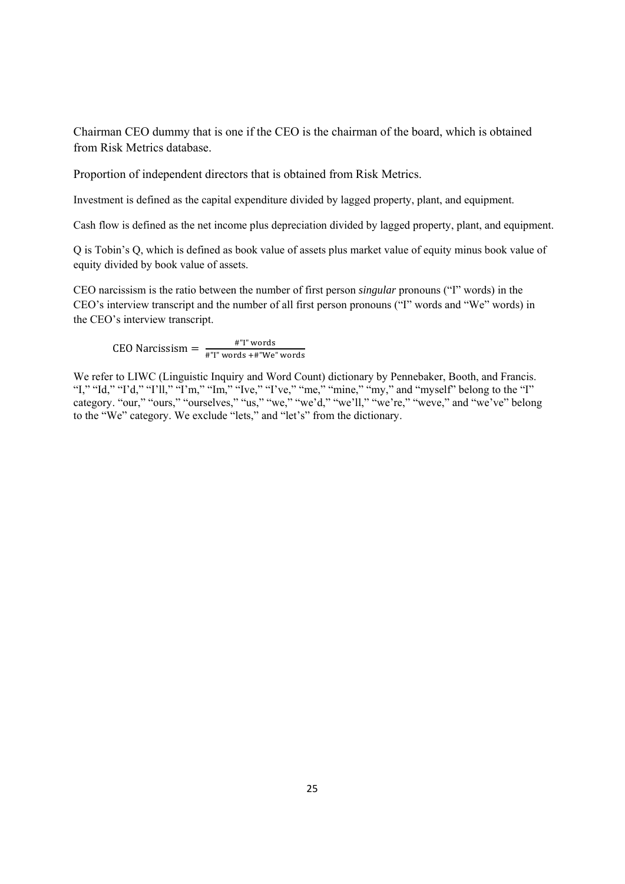Chairman CEO dummy that is one if the CEO is the chairman of the board, which is obtained from Risk Metrics database.

Proportion of independent directors that is obtained from Risk Metrics.

Investment is defined as the capital expenditure divided by lagged property, plant, and equipment.

Cash flow is defined as the net income plus depreciation divided by lagged property, plant, and equipment.

Q is Tobin's Q, which is defined as book value of assets plus market value of equity minus book value of equity divided by book value of assets.

CEO narcissism is the ratio between the number of first person *singular* pronouns ("I" words) in the CEO's interview transcript and the number of all first person pronouns ("I" words and "We" words) in the CEO's interview transcript.

$$
CEO\ Narcissism = \frac{\#"I" words}{\#"I" words + \#"We" words}
$$

We refer to LIWC (Linguistic Inquiry and Word Count) dictionary by Pennebaker, Booth, and Francis. "I," "Id," "I'd," "I'll," "I'm," "Im," "Ive," "I've," "me," "mine," "my," and "myself" belong to the "I" category. "our," "ours," "ourselves," "us," "we," "we'd," "we'll," "we're," "weve," and "we've" belong to the "We" category. We exclude "lets," and "let's" from the dictionary.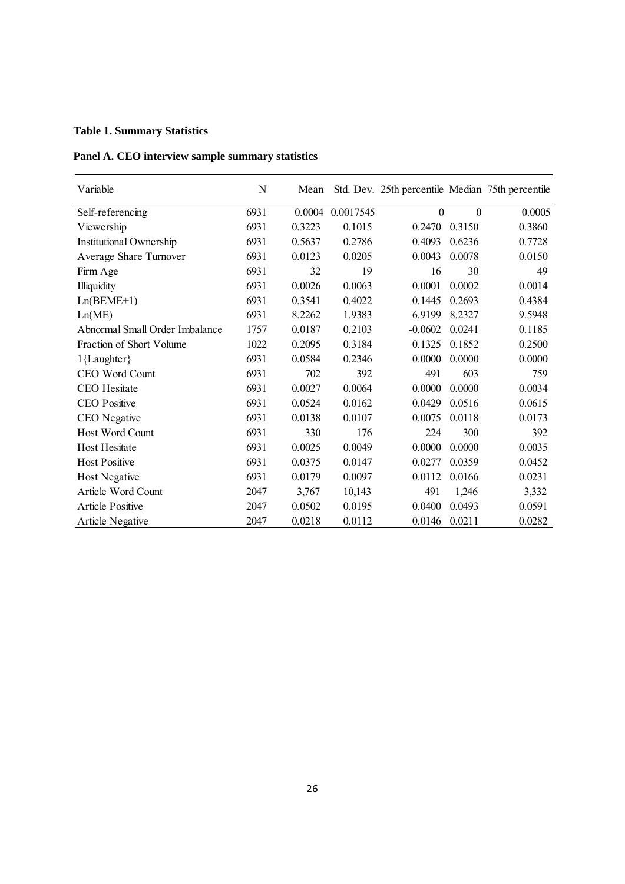# **Table 1. Summary Statistics**

# **Panel A. CEO interview sample summary statistics**

| Variable                       | N    | Mean   |           | Std. Dev. 25th percentile Median 75th percentile |                  |        |
|--------------------------------|------|--------|-----------|--------------------------------------------------|------------------|--------|
| Self-referencing               | 6931 | 0.0004 | 0.0017545 | $\boldsymbol{0}$                                 | $\boldsymbol{0}$ | 0.0005 |
| Viewership                     | 6931 | 0.3223 | 0.1015    | 0.2470                                           | 0.3150           | 0.3860 |
| <b>Institutional Ownership</b> | 6931 | 0.5637 | 0.2786    | 0.4093                                           | 0.6236           | 0.7728 |
| Average Share Turnover         | 6931 | 0.0123 | 0.0205    | 0.0043                                           | 0.0078           | 0.0150 |
| Firm Age                       | 6931 | 32     | 19        | 16                                               | 30               | 49     |
| Illiquidity                    | 6931 | 0.0026 | 0.0063    | 0.0001                                           | 0.0002           | 0.0014 |
| $Ln(BEME+1)$                   | 6931 | 0.3541 | 0.4022    | 0.1445                                           | 0.2693           | 0.4384 |
| Ln(ME)                         | 6931 | 8.2262 | 1.9383    | 6.9199                                           | 8.2327           | 9.5948 |
| Abnormal Small Order Imbalance | 1757 | 0.0187 | 0.2103    | $-0.0602$                                        | 0.0241           | 0.1185 |
| Fraction of Short Volume       | 1022 | 0.2095 | 0.3184    | 0.1325                                           | 0.1852           | 0.2500 |
| 1{Laughter}                    | 6931 | 0.0584 | 0.2346    | 0.0000                                           | 0.0000           | 0.0000 |
| CEO Word Count                 | 6931 | 702    | 392       | 491                                              | 603              | 759    |
| <b>CEO</b> Hesitate            | 6931 | 0.0027 | 0.0064    | 0.0000                                           | 0.0000           | 0.0034 |
| <b>CEO</b> Positive            | 6931 | 0.0524 | 0.0162    | 0.0429                                           | 0.0516           | 0.0615 |
| CEO Negative                   | 6931 | 0.0138 | 0.0107    | 0.0075                                           | 0.0118           | 0.0173 |
| <b>Host Word Count</b>         | 6931 | 330    | 176       | 224                                              | 300              | 392    |
| <b>Host Hesitate</b>           | 6931 | 0.0025 | 0.0049    | 0.0000                                           | 0.0000           | 0.0035 |
| <b>Host Positive</b>           | 6931 | 0.0375 | 0.0147    | 0.0277                                           | 0.0359           | 0.0452 |
| <b>Host Negative</b>           | 6931 | 0.0179 | 0.0097    | 0.0112                                           | 0.0166           | 0.0231 |
| Article Word Count             | 2047 | 3,767  | 10,143    | 491                                              | 1,246            | 3,332  |
| <b>Article Positive</b>        | 2047 | 0.0502 | 0.0195    | 0.0400                                           | 0.0493           | 0.0591 |
| <b>Article Negative</b>        | 2047 | 0.0218 | 0.0112    | 0.0146                                           | 0.0211           | 0.0282 |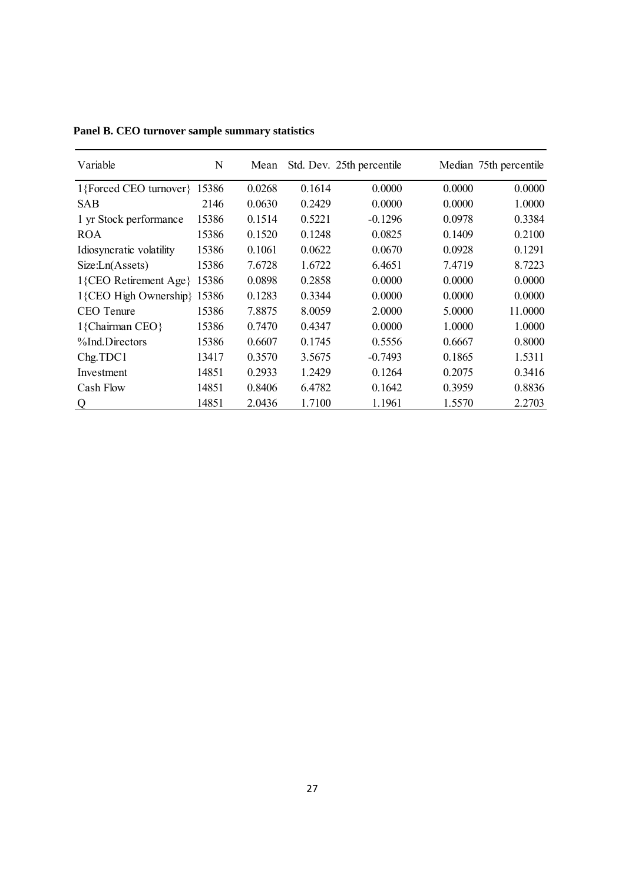| Variable                    | N     | Mean   |        | Std. Dev. 25th percentile |        | Median 75th percentile |
|-----------------------------|-------|--------|--------|---------------------------|--------|------------------------|
| 1{Forced CEO turnover}      | 15386 | 0.0268 | 0.1614 | 0.0000                    | 0.0000 | 0.0000                 |
| SAB                         | 2146  | 0.0630 | 0.2429 | 0.0000                    | 0.0000 | 1.0000                 |
| 1 yr Stock performance      | 15386 | 0.1514 | 0.5221 | $-0.1296$                 | 0.0978 | 0.3384                 |
| <b>ROA</b>                  | 15386 | 0.1520 | 0.1248 | 0.0825                    | 0.1409 | 0.2100                 |
| Idiosyncratic volatility    | 15386 | 0.1061 | 0.0622 | 0.0670                    | 0.0928 | 0.1291                 |
| Size:Ln(Assets)             | 15386 | 7.6728 | 1.6722 | 6.4651                    | 7.4719 | 8.7223                 |
| 1{CEO Retirement Age} 15386 |       | 0.0898 | 0.2858 | 0.0000                    | 0.0000 | 0.0000                 |
| 1{CEO High Ownership} 15386 |       | 0.1283 | 0.3344 | 0.0000                    | 0.0000 | 0.0000                 |
| CEO Tenure                  | 15386 | 7.8875 | 8.0059 | 2.0000                    | 5.0000 | 11.0000                |
| 1{Chairman CEO}             | 15386 | 0.7470 | 0.4347 | 0.0000                    | 1.0000 | 1.0000                 |
| %Ind.Directors              | 15386 | 0.6607 | 0.1745 | 0.5556                    | 0.6667 | 0.8000                 |
| Chg.TDC1                    | 13417 | 0.3570 | 3.5675 | $-0.7493$                 | 0.1865 | 1.5311                 |
| Investment                  | 14851 | 0.2933 | 1.2429 | 0.1264                    | 0.2075 | 0.3416                 |
| Cash Flow                   | 14851 | 0.8406 | 6.4782 | 0.1642                    | 0.3959 | 0.8836                 |
| $\overline{Q}$              | 14851 | 2.0436 | 1.7100 | 1.1961                    | 1.5570 | 2.2703                 |

**Panel B. CEO turnover sample summary statistics**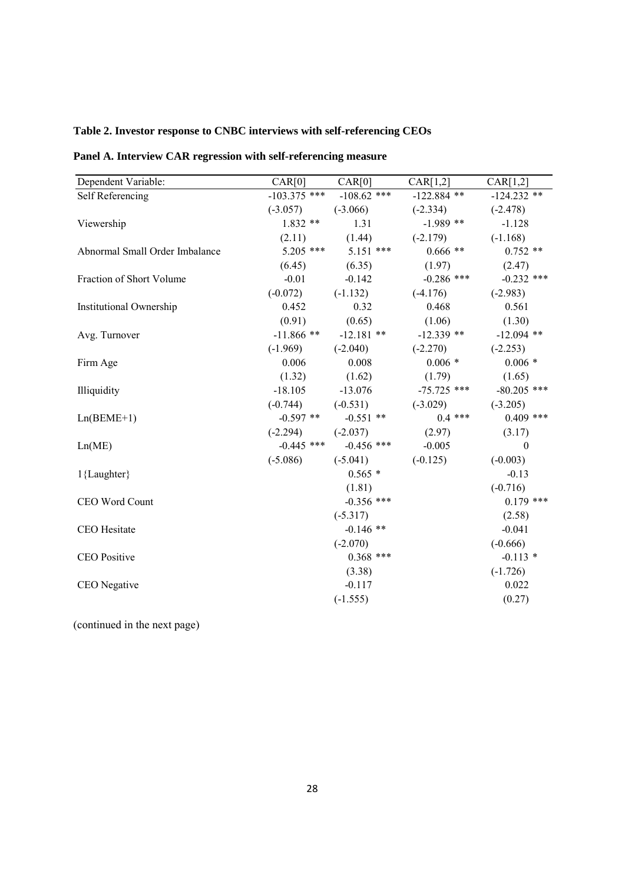| Table 2. Investor response to CNBC interviews with self-referencing CEOs |  |  |  |
|--------------------------------------------------------------------------|--|--|--|
|--------------------------------------------------------------------------|--|--|--|

| Dependent Variable:            | CAR[0]         | CAR[0]        | CAR[1,2]      | CAR[1,2]      |
|--------------------------------|----------------|---------------|---------------|---------------|
| Self Referencing               | $-103.375$ *** | $-108.62$ *** | $-122.884$ ** | $-124.232$ ** |
|                                | $(-3.057)$     | $(-3.066)$    | $(-2.334)$    | $(-2.478)$    |
| Viewership                     | $1.832**$      | 1.31          | $-1.989**$    | $-1.128$      |
|                                | (2.11)         | (1.44)        | $(-2.179)$    | $(-1.168)$    |
| Abnormal Small Order Imbalance | $5.205$ ***    | $5.151$ ***   | $0.666$ **    | $0.752$ **    |
|                                | (6.45)         | (6.35)        | (1.97)        | (2.47)        |
| Fraction of Short Volume       | $-0.01$        | $-0.142$      | $-0.286$ ***  | $-0.232$ ***  |
|                                | $(-0.072)$     | $(-1.132)$    | $(-4.176)$    | $(-2.983)$    |
| Institutional Ownership        | 0.452          | 0.32          | 0.468         | 0.561         |
|                                | (0.91)         | (0.65)        | (1.06)        | (1.30)        |
| Avg. Turnover                  | $-11.866$ **   | $-12.181$ **  | $-12.339$ **  | $-12.094$ **  |
|                                | $(-1.969)$     | $(-2.040)$    | $(-2.270)$    | $(-2.253)$    |
| Firm Age                       | 0.006          | 0.008         | $0.006 *$     | $0.006*$      |
|                                | (1.32)         | (1.62)        | (1.79)        | (1.65)        |
| Illiquidity                    | $-18.105$      | $-13.076$     | $-75.725$ *** | $-80.205$ *** |
|                                | $(-0.744)$     | $(-0.531)$    | $(-3.029)$    | $(-3.205)$    |
| $Ln(BEME+1)$                   | $-0.597$ **    | $-0.551$ **   | $0.4***$      | $0.409$ ***   |
|                                | $(-2.294)$     | $(-2.037)$    | (2.97)        | (3.17)        |
| Ln(ME)                         | $-0.445$ ***   | $-0.456$ ***  | $-0.005$      | $\theta$      |
|                                | $(-5.086)$     | $(-5.041)$    | $(-0.125)$    | $(-0.003)$    |
| 1{Laughter}                    |                | $0.565*$      |               | $-0.13$       |
|                                |                | (1.81)        |               | $(-0.716)$    |
| CEO Word Count                 |                | $-0.356$ ***  |               | $0.179$ ***   |
|                                |                | $(-5.317)$    |               | (2.58)        |
| <b>CEO</b> Hesitate            |                | $-0.146$ **   |               | $-0.041$      |
|                                |                | $(-2.070)$    |               | $(-0.666)$    |
| <b>CEO</b> Positive            |                | $0.368$ ***   |               | $-0.113*$     |
|                                |                | (3.38)        |               | $(-1.726)$    |
| CEO Negative                   |                | $-0.117$      |               | 0.022         |
|                                |                | $(-1.555)$    |               | (0.27)        |
|                                |                |               |               |               |

|  |  |  |  |  | Panel A. Interview CAR regression with self-referencing measure |  |
|--|--|--|--|--|-----------------------------------------------------------------|--|
|--|--|--|--|--|-----------------------------------------------------------------|--|

(continued in the next page)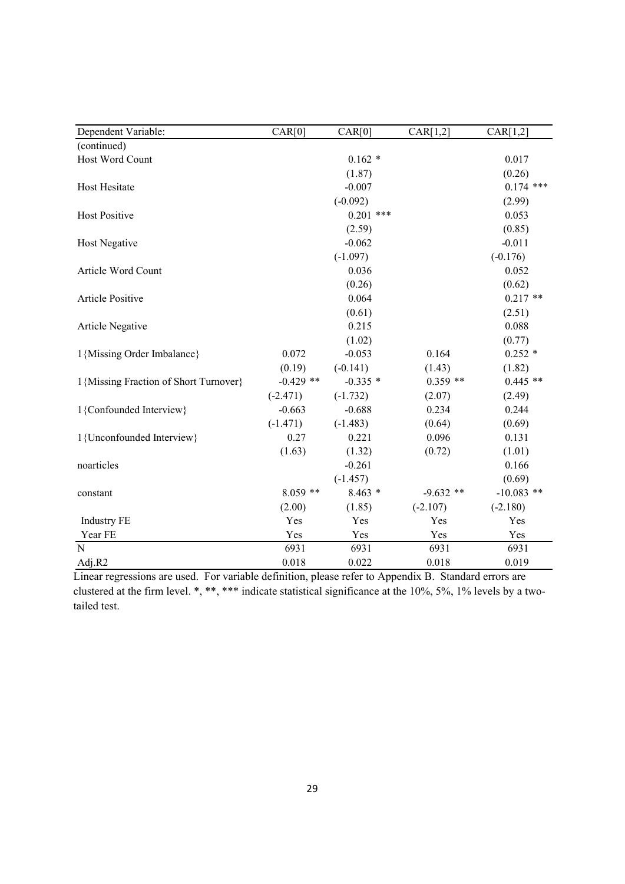| Dependent Variable:                   | CAR[0]      | CAR[0]      | CAR[1,2]   | CAR[1,2]     |
|---------------------------------------|-------------|-------------|------------|--------------|
| (continued)                           |             |             |            |              |
| Host Word Count                       |             | $0.162*$    |            | 0.017        |
|                                       |             | (1.87)      |            | (0.26)       |
| Host Hesitate                         |             | $-0.007$    |            | $0.174$ ***  |
|                                       |             | $(-0.092)$  |            | (2.99)       |
| <b>Host Positive</b>                  |             | $0.201$ *** |            | 0.053        |
|                                       |             | (2.59)      |            | (0.85)       |
| <b>Host Negative</b>                  |             | $-0.062$    |            | $-0.011$     |
|                                       |             | $(-1.097)$  |            | $(-0.176)$   |
| Article Word Count                    |             | 0.036       |            | 0.052        |
|                                       |             | (0.26)      |            | (0.62)       |
| <b>Article Positive</b>               |             | 0.064       |            | $0.217$ **   |
|                                       |             | (0.61)      |            | (2.51)       |
| <b>Article Negative</b>               |             | 0.215       |            | 0.088        |
|                                       |             | (1.02)      |            | (0.77)       |
| 1{Missing Order Imbalance}            | 0.072       | $-0.053$    | 0.164      | $0.252*$     |
|                                       | (0.19)      | $(-0.141)$  | (1.43)     | (1.82)       |
| 1{Missing Fraction of Short Turnover} | $-0.429$ ** | $-0.335*$   | $0.359**$  | $0.445$ **   |
|                                       | $(-2.471)$  | $(-1.732)$  | (2.07)     | (2.49)       |
| 1{Confounded Interview}               | $-0.663$    | $-0.688$    | 0.234      | 0.244        |
|                                       | $(-1.471)$  | $(-1.483)$  | (0.64)     | (0.69)       |
| 1{Unconfounded Interview}             | 0.27        | 0.221       | 0.096      | 0.131        |
|                                       | (1.63)      | (1.32)      | (0.72)     | (1.01)       |
| noarticles                            |             | $-0.261$    |            | 0.166        |
|                                       |             | $(-1.457)$  |            | (0.69)       |
| constant                              | $8.059$ **  | $8.463*$    | $-9.632**$ | $-10.083$ ** |
|                                       | (2.00)      | (1.85)      | $(-2.107)$ | $(-2.180)$   |
| <b>Industry FE</b>                    | Yes         | Yes         | Yes        | Yes          |
| Year FE                               | Yes         | Yes         | Yes        | Yes          |
| N                                     | 6931        | 6931        | 6931       | 6931         |
| Adj. $R2$                             | 0.018       | 0.022       | 0.018      | 0.019        |

Linear regressions are used. For variable definition, please refer to Appendix B. Standard errors are clustered at the firm level. \*, \*\*, \*\*\* indicate statistical significance at the 10%, 5%, 1% levels by a twotailed test.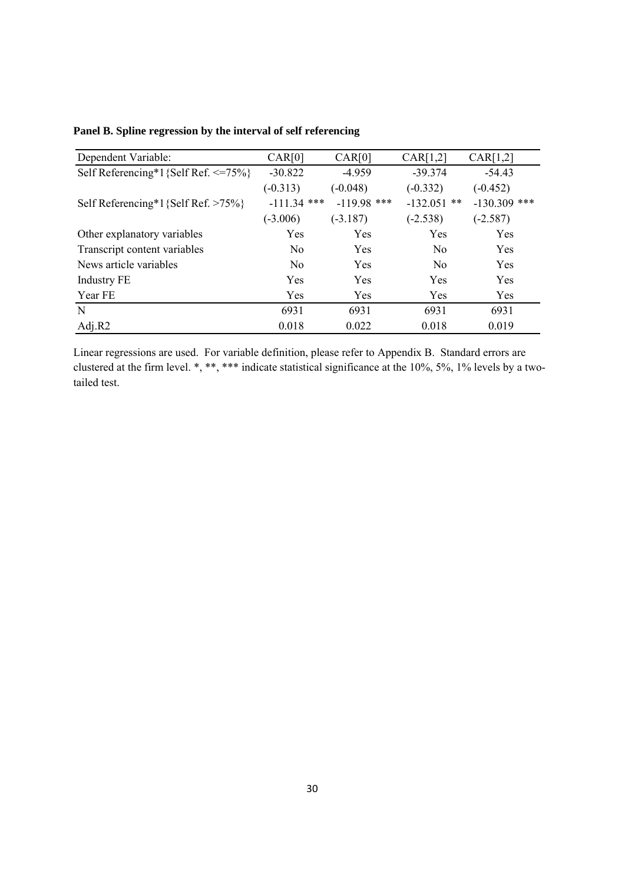| Dependent Variable:                       | CAR[0]         | CAR[0]        | CAR[1,2]       | CAR[1,2]       |
|-------------------------------------------|----------------|---------------|----------------|----------------|
| Self Referencing*1{Self Ref. $\leq$ =75%} | $-30.822$      | $-4.959$      | $-39.374$      | $-54.43$       |
|                                           | $(-0.313)$     | $(-0.048)$    | $(-0.332)$     | $(-0.452)$     |
| Self Referencing*1{Self Ref. >75%}        | $-111.34$ ***  | $-119.98$ *** | $-132.051$ **  | $-130.309$ *** |
|                                           | $(-3.006)$     | $(-3.187)$    | $(-2.538)$     | $(-2.587)$     |
| Other explanatory variables               | Yes            | Yes           | Yes            | Yes            |
| Transcript content variables              | N <sub>0</sub> | Yes           | N <sub>0</sub> | Yes            |
| News article variables                    | N <sub>0</sub> | Yes           | N <sub>0</sub> | Yes            |
| <b>Industry FE</b>                        | Yes            | Yes           | Yes            | Yes            |
| Year FE                                   | Yes            | Yes           | Yes            | Yes            |
| N                                         | 6931           | 6931          | 6931           | 6931           |
| Adj. $R2$                                 | 0.018          | 0.022         | 0.018          | 0.019          |

**Panel B. Spline regression by the interval of self referencing** 

Linear regressions are used. For variable definition, please refer to Appendix B. Standard errors are clustered at the firm level. \*, \*\*, \*\*\* indicate statistical significance at the 10%, 5%, 1% levels by a twotailed test.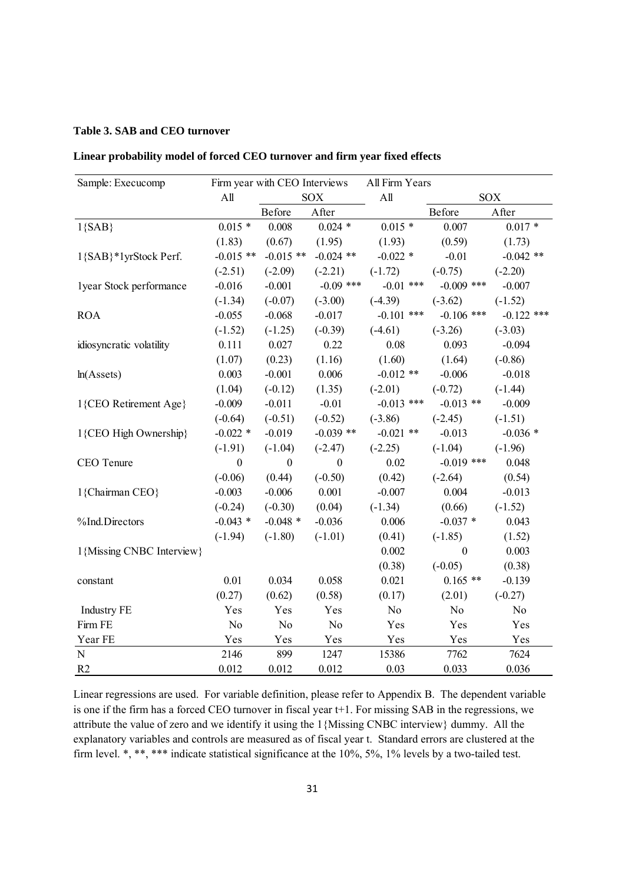#### **Table 3. SAB and CEO turnover**

#### **Linear probability model of forced CEO turnover and firm year fixed effects**

| Sample: Execucomp         |                | Firm year with CEO Interviews |              | All Firm Years |                  |                |
|---------------------------|----------------|-------------------------------|--------------|----------------|------------------|----------------|
|                           | All            |                               | <b>SOX</b>   | $\mathbf{All}$ |                  | SOX            |
|                           |                | Before                        | After        |                | Before           | After          |
| $1{SAB}$                  | $0.015*$       | 0.008                         | $0.024$ *    | $0.015*$       | 0.007            | $0.017 *$      |
|                           | (1.83)         | (0.67)                        | (1.95)       | (1.93)         | (0.59)           | (1.73)         |
| 1{SAB}*1yrStock Perf.     | $-0.015$ **    | $-0.015$ **                   | $-0.024$ **  | $-0.022$ *     | $-0.01$          | $-0.042$ **    |
|                           | $(-2.51)$      | $(-2.09)$                     | $(-2.21)$    | $(-1.72)$      | $(-0.75)$        | $(-2.20)$      |
| lyear Stock performance   | $-0.016$       | $-0.001$                      | $-0.09$ ***  | $-0.01$ ***    | $-0.009$ ***     | $-0.007$       |
|                           | $(-1.34)$      | $(-0.07)$                     | $(-3.00)$    | $(-4.39)$      | $(-3.62)$        | $(-1.52)$      |
| <b>ROA</b>                | $-0.055$       | $-0.068$                      | $-0.017$     | $-0.101$ ***   | $-0.106$ ***     | $-0.122$ ***   |
|                           | $(-1.52)$      | $(-1.25)$                     | $(-0.39)$    | $(-4.61)$      | $(-3.26)$        | $(-3.03)$      |
| idiosyncratic volatility  | 0.111          | 0.027                         | 0.22         | 0.08           | 0.093            | $-0.094$       |
|                           | (1.07)         | (0.23)                        | (1.16)       | (1.60)         | (1.64)           | $(-0.86)$      |
| ln(A <sub>s</sub> )       | 0.003          | $-0.001$                      | 0.006        | $-0.012$ **    | $-0.006$         | $-0.018$       |
|                           | (1.04)         | $(-0.12)$                     | (1.35)       | $(-2.01)$      | $(-0.72)$        | $(-1.44)$      |
| 1{CEO Retirement Age}     | $-0.009$       | $-0.011$                      | $-0.01$      | $-0.013$ ***   | $-0.013$ **      | $-0.009$       |
|                           | $(-0.64)$      | $(-0.51)$                     | $(-0.52)$    | $(-3.86)$      | $(-2.45)$        | $(-1.51)$      |
| 1{CEO High Ownership}     | $-0.022$ *     | $-0.019$                      | $-0.039$ **  | $-0.021$ **    | $-0.013$         | $-0.036*$      |
|                           | $(-1.91)$      | $(-1.04)$                     | $(-2.47)$    | $(-2.25)$      | $(-1.04)$        | $(-1.96)$      |
| CEO Tenure                | $\overline{0}$ | $\mathbf{0}$                  | $\mathbf{0}$ | 0.02           | $-0.019$ ***     | 0.048          |
|                           | $(-0.06)$      | (0.44)                        | $(-0.50)$    | (0.42)         | $(-2.64)$        | (0.54)         |
| 1{Chairman CEO}           | $-0.003$       | $-0.006$                      | 0.001        | $-0.007$       | 0.004            | $-0.013$       |
|                           | $(-0.24)$      | $(-0.30)$                     | (0.04)       | $(-1.34)$      | (0.66)           | $(-1.52)$      |
| %Ind.Directors            | $-0.043$ *     | $-0.048$ *                    | $-0.036$     | 0.006          | $-0.037*$        | 0.043          |
|                           | $(-1.94)$      | $(-1.80)$                     | $(-1.01)$    | (0.41)         | $(-1.85)$        | (1.52)         |
| 1{Missing CNBC Interview} |                |                               |              | 0.002          | $\boldsymbol{0}$ | 0.003          |
|                           |                |                               |              | (0.38)         | $(-0.05)$        | (0.38)         |
| constant                  | 0.01           | 0.034                         | 0.058        | 0.021          | $0.165$ **       | $-0.139$       |
|                           | (0.27)         | (0.62)                        | (0.58)       | (0.17)         | (2.01)           | $(-0.27)$      |
| <b>Industry FE</b>        | Yes            | Yes                           | Yes          | N <sub>0</sub> | N <sub>o</sub>   | N <sub>0</sub> |
| Firm FE                   | N <sub>o</sub> | No                            | No           | Yes            | Yes              | Yes            |
| Year FE                   | Yes            | Yes                           | Yes          | Yes            | Yes              | Yes            |
| ${\bf N}$                 | 2146           | 899                           | 1247         | 15386          | 7762             | 7624           |
| R2                        | 0.012          | 0.012                         | 0.012        | 0.03           | 0.033            | 0.036          |

Linear regressions are used. For variable definition, please refer to Appendix B. The dependent variable is one if the firm has a forced CEO turnover in fiscal year t+1. For missing SAB in the regressions, we attribute the value of zero and we identify it using the 1{Missing CNBC interview} dummy. All the explanatory variables and controls are measured as of fiscal year t. Standard errors are clustered at the firm level. \*, \*\*, \*\*\* indicate statistical significance at the 10%, 5%, 1% levels by a two-tailed test.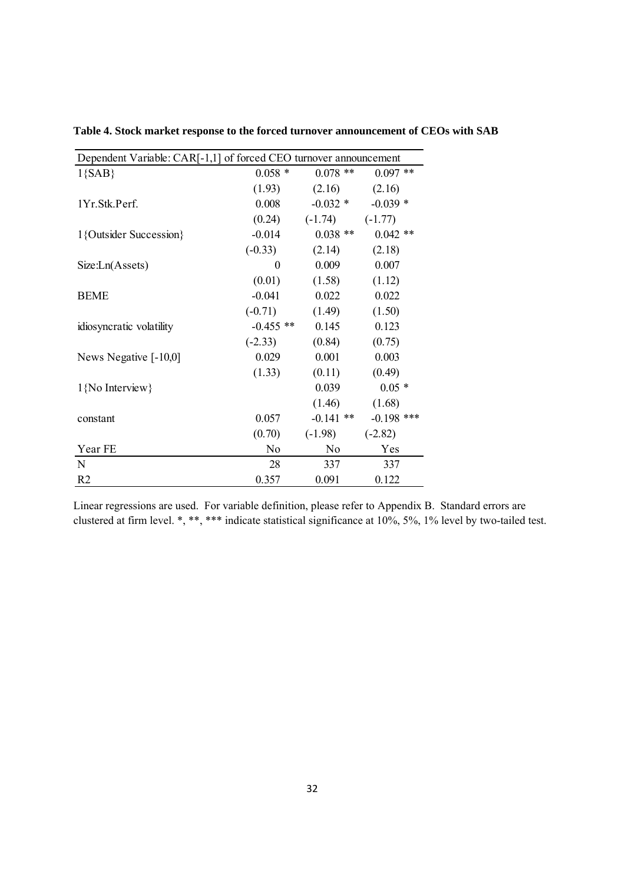| Dependent Variable: CAR[-1,1] of forced CEO turnover announcement |                |                |              |  |  |  |
|-------------------------------------------------------------------|----------------|----------------|--------------|--|--|--|
| $1{SAB}$                                                          | $0.058*$       | $0.078$ **     | $0.097**$    |  |  |  |
|                                                                   | (1.93)         | (2.16)         | (2.16)       |  |  |  |
| 1Yr.Stk.Perf.                                                     | 0.008          | $-0.032$ *     | $-0.039*$    |  |  |  |
|                                                                   | (0.24)         | $(-1.74)$      | $(-1.77)$    |  |  |  |
| 1{Outsider Succession}                                            | $-0.014$       | $0.038$ **     | $0.042$ **   |  |  |  |
|                                                                   | $(-0.33)$      | (2.14)         | (2.18)       |  |  |  |
| Size:Ln(Assets)                                                   | $\theta$       | 0.009          | 0.007        |  |  |  |
|                                                                   | (0.01)         | (1.58)         | (1.12)       |  |  |  |
| <b>BEME</b>                                                       | $-0.041$       | 0.022          | 0.022        |  |  |  |
|                                                                   | $(-0.71)$      | (1.49)         | (1.50)       |  |  |  |
| idiosyncratic volatility                                          | $-0.455$ **    | 0.145          | 0.123        |  |  |  |
|                                                                   | $(-2.33)$      | (0.84)         | (0.75)       |  |  |  |
| News Negative [-10,0]                                             | 0.029          | 0.001          | 0.003        |  |  |  |
|                                                                   | (1.33)         | (0.11)         | (0.49)       |  |  |  |
| $1\{No\ Interview\}$                                              |                | 0.039          | $0.05*$      |  |  |  |
|                                                                   |                | (1.46)         | (1.68)       |  |  |  |
| constant                                                          | 0.057          | $-0.141$ **    | $-0.198$ *** |  |  |  |
|                                                                   | (0.70)         | $(-1.98)$      | $(-2.82)$    |  |  |  |
| Year FE                                                           | N <sub>0</sub> | N <sub>0</sub> | Yes          |  |  |  |
| N                                                                 | 28             | 337            | 337          |  |  |  |
| R <sub>2</sub>                                                    | 0.357          | 0.091          | 0.122        |  |  |  |

**Table 4. Stock market response to the forced turnover announcement of CEOs with SAB** 

Linear regressions are used. For variable definition, please refer to Appendix B. Standard errors are clustered at firm level. \*, \*\*, \*\*\* indicate statistical significance at 10%, 5%, 1% level by two-tailed test.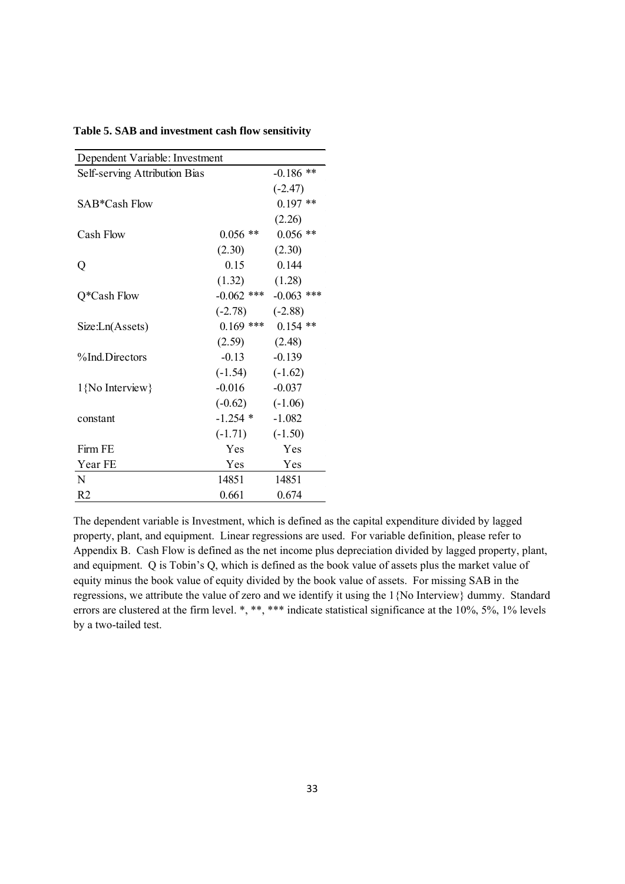| Dependent Variable: Investment |              |              |
|--------------------------------|--------------|--------------|
| Self-serving Attribution Bias  |              | $-0.186$ **  |
|                                |              | $(-2.47)$    |
| SAB*Cash Flow                  |              | $0.197$ **   |
|                                |              | (2.26)       |
| Cash Flow                      | $0.056$ **   | $0.056$ **   |
|                                | (2.30)       | (2.30)       |
| Q                              | 0.15         | 0.144        |
|                                | (1.32)       | (1.28)       |
| Q*Cash Flow                    | $-0.062$ *** | $-0.063$ *** |
|                                | $(-2.78)$    | $(-2.88)$    |
| Size:Ln(Assets)                | $0.169$ ***  | $0.154$ **   |
|                                | (2.59)       | (2.48)       |
| %Ind.Directors                 | $-0.13$      | $-0.139$     |
|                                | $(-1.54)$    | $(-1.62)$    |
| $1\{No\ Interview\}$           | $-0.016$     | $-0.037$     |
|                                | $(-0.62)$    | $(-1.06)$    |
| constant                       | $-1.254$ *   | $-1.082$     |
|                                | $(-1.71)$    | $(-1.50)$    |
| Firm FE                        | Yes          | Yes          |
| Year FE                        | Yes          | Yes          |
| N                              | 14851        | 14851        |
| R <sub>2</sub>                 | 0.661        | 0.674        |

**Table 5. SAB and investment cash flow sensitivity** 

The dependent variable is Investment, which is defined as the capital expenditure divided by lagged property, plant, and equipment. Linear regressions are used. For variable definition, please refer to Appendix B. Cash Flow is defined as the net income plus depreciation divided by lagged property, plant, and equipment. Q is Tobin's Q, which is defined as the book value of assets plus the market value of equity minus the book value of equity divided by the book value of assets. For missing SAB in the regressions, we attribute the value of zero and we identify it using the 1{No Interview} dummy. Standard errors are clustered at the firm level. \*, \*\*, \*\*\* indicate statistical significance at the 10%, 5%, 1% levels by a two-tailed test.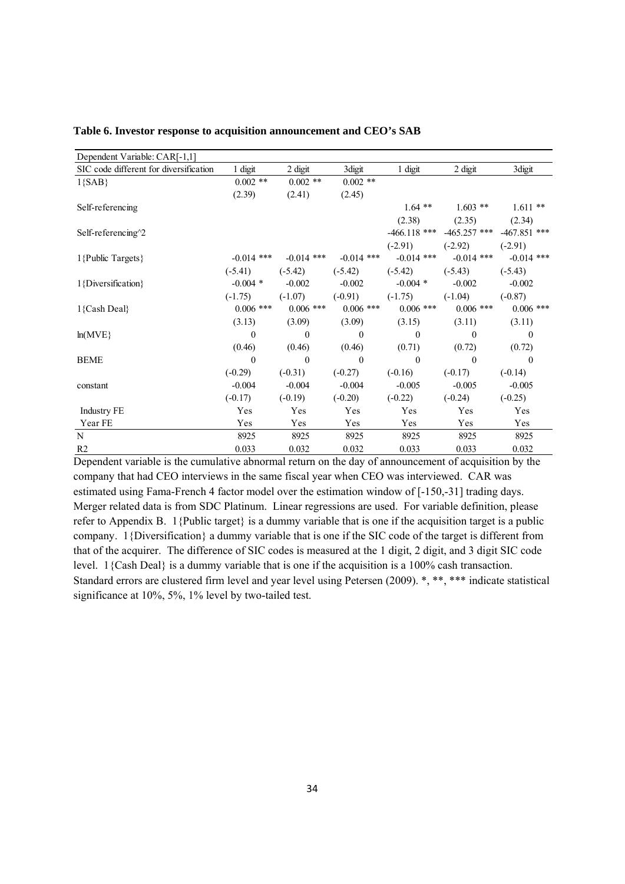| Dependent Variable: CAR[-1,1]          |              |                  |              |                |                |                |
|----------------------------------------|--------------|------------------|--------------|----------------|----------------|----------------|
| SIC code different for diversification | 1 digit      | 2 digit          | 3digit       | 1 digit        | 2 digit        | 3digit         |
| $1{SAB}$                               | $0.002$ **   | $0.002$ **       | $0.002$ **   |                |                |                |
|                                        | (2.39)       | (2.41)           | (2.45)       |                |                |                |
| Self-referencing                       |              |                  |              | $1.64$ **      | $1.603$ **     | $1.611**$      |
|                                        |              |                  |              | (2.38)         | (2.35)         | (2.34)         |
| Self-referencing $\gamma$ 2            |              |                  |              | $-466.118$ *** | $-465.257$ *** | $-467.851$ *** |
|                                        |              |                  |              | $(-2.91)$      | $(-2.92)$      | $(-2.91)$      |
| $1$ {Public Targets}                   | $-0.014$ *** | $-0.014$ ***     | $-0.014$ *** | $-0.014$ ***   | $-0.014$ ***   | $-0.014$ ***   |
|                                        | $(-5.41)$    | $(-5.42)$        | $(-5.42)$    | $(-5.42)$      | $(-5.43)$      | $(-5.43)$      |
| 1{Diversification}                     | $-0.004$ *   | $-0.002$         | $-0.002$     | $-0.004$ *     | $-0.002$       | $-0.002$       |
|                                        | $(-1.75)$    | $(-1.07)$        | $(-0.91)$    | $(-1.75)$      | $(-1.04)$      | $(-0.87)$      |
| 1{Cash Deal}                           | $0.006$ ***  | $0.006$ ***      | $0.006$ ***  | $0.006$ ***    | $0.006$ ***    | $0.006$ ***    |
|                                        | (3.13)       | (3.09)           | (3.09)       | (3.15)         | (3.11)         | (3.11)         |
| ln(MVE)                                | $\theta$     | $\boldsymbol{0}$ | $\mathbf{0}$ | $\theta$       | $\mathbf{0}$   | $\mathbf{0}$   |
|                                        | (0.46)       | (0.46)           | (0.46)       | (0.71)         | (0.72)         | (0.72)         |
| <b>BEME</b>                            | $\theta$     | $\theta$         | $\theta$     | $\Omega$       | $\mathbf{0}$   | $\theta$       |
|                                        | $(-0.29)$    | $(-0.31)$        | $(-0.27)$    | $(-0.16)$      | $(-0.17)$      | $(-0.14)$      |
| constant                               | $-0.004$     | $-0.004$         | $-0.004$     | $-0.005$       | $-0.005$       | $-0.005$       |
|                                        | $(-0.17)$    | $(-0.19)$        | $(-0.20)$    | $(-0.22)$      | $(-0.24)$      | $(-0.25)$      |
| <b>Industry FE</b>                     | Yes          | Yes              | Yes          | Yes            | Yes            | Yes            |
| Year FE                                | Yes          | Yes              | Yes          | Yes            | Yes            | Yes            |
| N                                      | 8925         | 8925             | 8925         | 8925           | 8925           | 8925           |
| R <sub>2</sub>                         | 0.033        | 0.032            | 0.032        | 0.033          | 0.033          | 0.032          |

|  | Table 6. Investor response to acquisition announcement and CEO's SAB |  |
|--|----------------------------------------------------------------------|--|
|--|----------------------------------------------------------------------|--|

Dependent variable is the cumulative abnormal return on the day of announcement of acquisition by the company that had CEO interviews in the same fiscal year when CEO was interviewed. CAR was estimated using Fama-French 4 factor model over the estimation window of [-150,-31] trading days. Merger related data is from SDC Platinum. Linear regressions are used. For variable definition, please refer to Appendix B. 1{Public target} is a dummy variable that is one if the acquisition target is a public company. 1{Diversification} a dummy variable that is one if the SIC code of the target is different from that of the acquirer. The difference of SIC codes is measured at the 1 digit, 2 digit, and 3 digit SIC code level. 1{Cash Deal} is a dummy variable that is one if the acquisition is a 100% cash transaction. Standard errors are clustered firm level and year level using Petersen (2009). \*, \*\*, \*\*\* indicate statistical significance at 10%, 5%, 1% level by two-tailed test.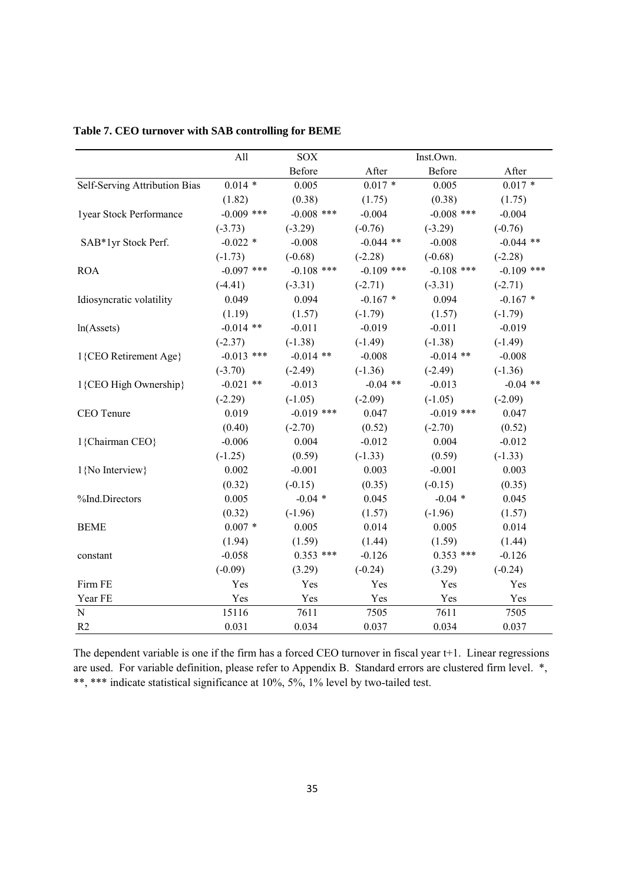|                               | All          | <b>SOX</b>   |              | Inst.Own.    |              |
|-------------------------------|--------------|--------------|--------------|--------------|--------------|
|                               |              | Before       | After        | Before       | After        |
| Self-Serving Attribution Bias | $0.014$ *    | 0.005        | $0.017 *$    | 0.005        | $0.017 *$    |
|                               | (1.82)       | (0.38)       | (1.75)       | (0.38)       | (1.75)       |
| 1year Stock Performance       | $-0.009$ *** | $-0.008$ *** | $-0.004$     | $-0.008$ *** | $-0.004$     |
|                               | $(-3.73)$    | $(-3.29)$    | $(-0.76)$    | $(-3.29)$    | $(-0.76)$    |
| SAB*1yr Stock Perf.           | $-0.022$ *   | $-0.008$     | $-0.044$ **  | $-0.008$     | $-0.044$ **  |
|                               | $(-1.73)$    | $(-0.68)$    | $(-2.28)$    | $(-0.68)$    | $(-2.28)$    |
| <b>ROA</b>                    | $-0.097$ *** | $-0.108$ *** | $-0.109$ *** | $-0.108$ *** | $-0.109$ *** |
|                               | $(-4.41)$    | $(-3.31)$    | $(-2.71)$    | $(-3.31)$    | $(-2.71)$    |
| Idiosyncratic volatility      | 0.049        | 0.094        | $-0.167*$    | 0.094        | $-0.167*$    |
|                               | (1.19)       | (1.57)       | $(-1.79)$    | (1.57)       | $(-1.79)$    |
| ln(A <sub>s</sub> )           | $-0.014$ **  | $-0.011$     | $-0.019$     | $-0.011$     | $-0.019$     |
|                               | $(-2.37)$    | $(-1.38)$    | $(-1.49)$    | $(-1.38)$    | $(-1.49)$    |
| 1{CEO Retirement Age}         | $-0.013$ *** | $-0.014$ **  | $-0.008$     | $-0.014$ **  | $-0.008$     |
|                               | $(-3.70)$    | $(-2.49)$    | $(-1.36)$    | $(-2.49)$    | $(-1.36)$    |
| 1{CEO High Ownership}         | $-0.021$ **  | $-0.013$     | $-0.04$ **   | $-0.013$     | $-0.04$ **   |
|                               | $(-2.29)$    | $(-1.05)$    | $(-2.09)$    | $(-1.05)$    | $(-2.09)$    |
| CEO Tenure                    | 0.019        | $-0.019$ *** | 0.047        | $-0.019$ *** | 0.047        |
|                               | (0.40)       | $(-2.70)$    | (0.52)       | $(-2.70)$    | (0.52)       |
| 1{Chairman CEO}               | $-0.006$     | 0.004        | $-0.012$     | 0.004        | $-0.012$     |
|                               | $(-1.25)$    | (0.59)       | $(-1.33)$    | (0.59)       | $(-1.33)$    |
| 1{No Interview}               | 0.002        | $-0.001$     | 0.003        | $-0.001$     | 0.003        |
|                               | (0.32)       | $(-0.15)$    | (0.35)       | $(-0.15)$    | (0.35)       |
| %Ind.Directors                | 0.005        | $-0.04$ *    | 0.045        | $-0.04$ *    | 0.045        |
|                               | (0.32)       | $(-1.96)$    | (1.57)       | $(-1.96)$    | (1.57)       |
| <b>BEME</b>                   | $0.007*$     | 0.005        | 0.014        | 0.005        | 0.014        |
|                               | (1.94)       | (1.59)       | (1.44)       | (1.59)       | (1.44)       |
| constant                      | $-0.058$     | $0.353$ ***  | $-0.126$     | $0.353$ ***  | $-0.126$     |
|                               | $(-0.09)$    | (3.29)       | $(-0.24)$    | (3.29)       | $(-0.24)$    |
| Firm FE                       | Yes          | Yes          | Yes          | Yes          | Yes          |
| Year FE                       | Yes          | Yes          | Yes          | Yes          | Yes          |
| $\overline{N}$                | 15116        | 7611         | 7505         | 7611         | 7505         |
| R <sub>2</sub>                | 0.031        | 0.034        | 0.037        | 0.034        | 0.037        |

**Table 7. CEO turnover with SAB controlling for BEME** 

The dependent variable is one if the firm has a forced CEO turnover in fiscal year t+1. Linear regressions are used. For variable definition, please refer to Appendix B. Standard errors are clustered firm level. \*, \*\*, \*\*\* indicate statistical significance at 10%, 5%, 1% level by two-tailed test.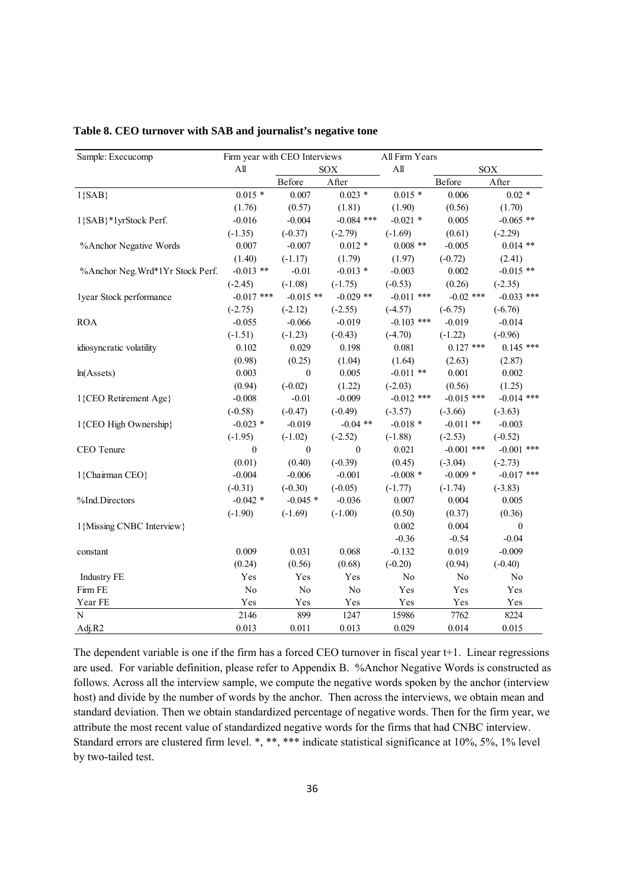| Sample: Execucomp                |                  | Firm year with CEO Interviews |                  | All Firm Years    |              |              |
|----------------------------------|------------------|-------------------------------|------------------|-------------------|--------------|--------------|
|                                  | All              | SOX                           |                  | All<br><b>SOX</b> |              |              |
|                                  |                  | Before                        | After            |                   | Before       | After        |
| $1{SAB}$                         | $0.015*$         | 0.007                         | $0.023 *$        | $0.015*$          | 0.006        | $0.02 *$     |
|                                  | (1.76)           | (0.57)                        | (1.81)           | (1.90)            | (0.56)       | (1.70)       |
| 1{SAB}*1yrStock Perf.            | $-0.016$         | $-0.004$                      | $-0.084$ ***     | $-0.021$ *        | 0.005        | $-0.065$ **  |
|                                  | $(-1.35)$        | $(-0.37)$                     | $(-2.79)$        | $(-1.69)$         | (0.61)       | $(-2.29)$    |
| %Anchor Negative Words           | 0.007            | $-0.007$                      | $0.012 *$        | $0.008$ **        | $-0.005$     | $0.014$ **   |
|                                  | (1.40)           | $(-1.17)$                     | (1.79)           | (1.97)            | $(-0.72)$    | (2.41)       |
| %Anchor Neg. Wrd*1Yr Stock Perf. | $-0.013$ **      | $-0.01$                       | $-0.013$ *       | $-0.003$          | 0.002        | $-0.015$ **  |
|                                  | $(-2.45)$        | $(-1.08)$                     | $(-1.75)$        | $(-0.53)$         | (0.26)       | $(-2.35)$    |
| 1year Stock performance          | $-0.017$ ***     | $-0.015$ **                   | $-0.029$ **      | $-0.011$ ***      | $-0.02$ ***  | $-0.033$ *** |
|                                  | $(-2.75)$        | $(-2.12)$                     | $(-2.55)$        | $(-4.57)$         | $(-6.75)$    | $(-6.76)$    |
| <b>ROA</b>                       | $-0.055$         | $-0.066$                      | $-0.019$         | $-0.103$ ***      | $-0.019$     | $-0.014$     |
|                                  | $(-1.51)$        | $(-1.23)$                     | $(-0.43)$        | $(-4.70)$         | $(-1.22)$    | $(-0.96)$    |
| idiosyncratic volatility         | 0.102            | 0.029                         | 0.198            | 0.081             | $0.127$ ***  | $0.145$ ***  |
|                                  | (0.98)           | (0.25)                        | (1.04)           | (1.64)            | (2.63)       | (2.87)       |
| ln(A <sub>s</sub> )              | 0.003            | $\boldsymbol{0}$              | 0.005            | $-0.011$ **       | 0.001        | 0.002        |
|                                  | (0.94)           | $(-0.02)$                     | (1.22)           | $(-2.03)$         | (0.56)       | (1.25)       |
| 1{CEO Retirement Age}            | $-0.008$         | $-0.01$                       | $-0.009$         | $-0.012$ ***      | $-0.015$ *** | $-0.014$ *** |
|                                  | $(-0.58)$        | $(-0.47)$                     | $(-0.49)$        | $(-3.57)$         | $(-3.66)$    | $(-3.63)$    |
| 1{CEO High Ownership}            | $-0.023$ *       | $-0.019$                      | $-0.04$ **       | $-0.018*$         | $-0.011$ **  | $-0.003$     |
|                                  | $(-1.95)$        | $(-1.02)$                     | $(-2.52)$        | $(-1.88)$         | $(-2.53)$    | $(-0.52)$    |
| CEO Tenure                       | $\boldsymbol{0}$ | $\boldsymbol{0}$              | $\boldsymbol{0}$ | 0.021             | $-0.001$ *** | $-0.001$ *** |
|                                  | (0.01)           | (0.40)                        | $(-0.39)$        | (0.45)            | $(-3.04)$    | $(-2.73)$    |
| 1{Chairman CEO}                  | $-0.004$         | $-0.006$                      | $-0.001$         | $-0.008*$         | $-0.009*$    | $-0.017$ *** |
|                                  | $(-0.31)$        | $(-0.30)$                     | $(-0.05)$        | $(-1.77)$         | $(-1.74)$    | $(-3.83)$    |
| %Ind.Directors                   | $-0.042$ *       | $-0.045$ *                    | $-0.036$         | 0.007             | 0.004        | 0.005        |
|                                  | $(-1.90)$        | $(-1.69)$                     | $(-1.00)$        | (0.50)            | (0.37)       | (0.36)       |
| 1{Missing CNBC Interview}        |                  |                               |                  | 0.002             | 0.004        | $\mathbf{0}$ |
|                                  |                  |                               |                  | $-0.36$           | $-0.54$      | $-0.04$      |
| constant                         | 0.009            | 0.031                         | 0.068            | $-0.132$          | 0.019        | $-0.009$     |
|                                  | (0.24)           | (0.56)                        | (0.68)           | $(-0.20)$         | (0.94)       | $(-0.40)$    |
| <b>Industry FE</b>               | Yes              | Yes                           | Yes              | No                | $\rm No$     | No           |
| Firm FE                          | No               | No                            | No               | Yes               | Yes          | Yes          |
| Year FE                          | Yes              | Yes                           | Yes              | Yes               | Yes          | Yes          |
| $\overline{N}$                   | 2146             | 899                           | 1247             | 15986             | 7762         | 8224         |
| Adj.R2                           | 0.013            | 0.011                         | 0.013            | 0.029             | 0.014        | 0.015        |

#### **Table 8. CEO turnover with SAB and journalist's negative tone**

The dependent variable is one if the firm has a forced CEO turnover in fiscal year t+1. Linear regressions are used. For variable definition, please refer to Appendix B. %Anchor Negative Words is constructed as follows. Across all the interview sample, we compute the negative words spoken by the anchor (interview host) and divide by the number of words by the anchor. Then across the interviews, we obtain mean and standard deviation. Then we obtain standardized percentage of negative words. Then for the firm year, we attribute the most recent value of standardized negative words for the firms that had CNBC interview. Standard errors are clustered firm level. \*, \*\*, \*\*\* indicate statistical significance at 10%, 5%, 1% level by two-tailed test.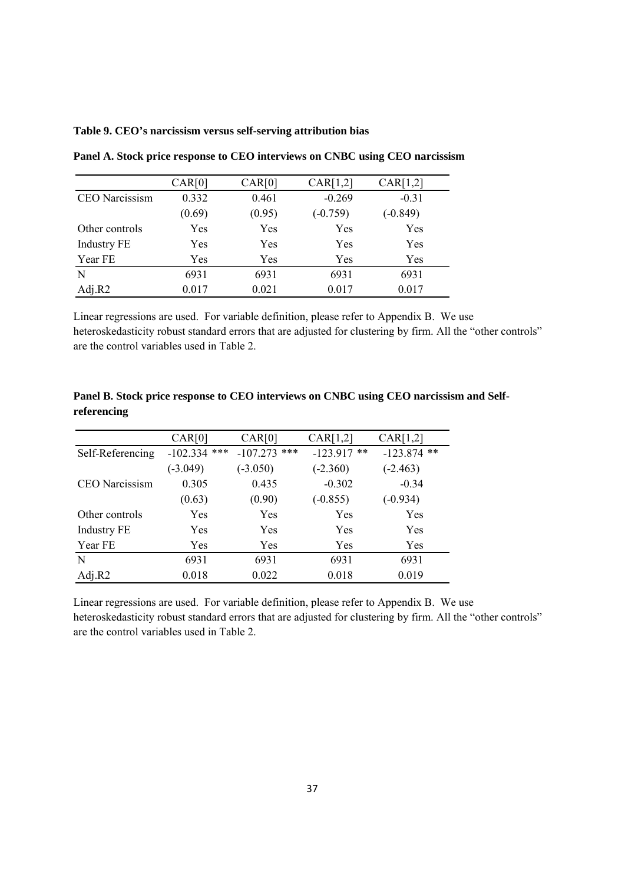| Table 9. CEO's narcissism versus self-serving attribution bias |  |
|----------------------------------------------------------------|--|
|----------------------------------------------------------------|--|

|                       | CAR[0] | CAR[0] | CAR[1,2]   | CAR[1,2]   |
|-----------------------|--------|--------|------------|------------|
| <b>CEO</b> Narcissism | 0.332  | 0.461  | $-0.269$   | $-0.31$    |
|                       | (0.69) | (0.95) | $(-0.759)$ | $(-0.849)$ |
| Other controls        | Yes    | Yes    | Yes        | Yes        |
| <b>Industry FE</b>    | Yes    | Yes    | Yes        | Yes        |
| Year FE               | Yes    | Yes    | Yes        | Yes        |
| N                     | 6931   | 6931   | 6931       | 6931       |
| Adj. $R2$             | 0.017  | 0.021  | 0.017      | 0.017      |
|                       |        |        |            |            |

**Panel A. Stock price response to CEO interviews on CNBC using CEO narcissism** 

Linear regressions are used. For variable definition, please refer to Appendix B. We use heteroskedasticity robust standard errors that are adjusted for clustering by firm. All the "other controls" are the control variables used in Table 2.

|                       | CAR[0]         | CAR[0]         | CAR[1,2]      | CAR[1,2]      |
|-----------------------|----------------|----------------|---------------|---------------|
| Self-Referencing      | $-102.334$ *** | $-107.273$ *** | $-123.917$ ** | $-123.874$ ** |
|                       | $(-3.049)$     | $(-3.050)$     | $(-2.360)$    | $(-2.463)$    |
| <b>CEO</b> Narcissism | 0.305          | 0.435          | $-0.302$      | $-0.34$       |
|                       | (0.63)         | (0.90)         | $(-0.855)$    | $(-0.934)$    |
| Other controls        | Yes            | Yes            | Yes           | Yes           |
| <b>Industry FE</b>    | Yes            | Yes            | Yes           | Yes           |
| Year FE               | Yes            | Yes            | Yes           | Yes           |
| N                     | 6931           | 6931           | 6931          | 6931          |
| Adj. $R2$             | 0.018          | 0.022          | 0.018         | 0.019         |

**Panel B. Stock price response to CEO interviews on CNBC using CEO narcissism and Selfreferencing** 

Linear regressions are used. For variable definition, please refer to Appendix B. We use heteroskedasticity robust standard errors that are adjusted for clustering by firm. All the "other controls" are the control variables used in Table 2.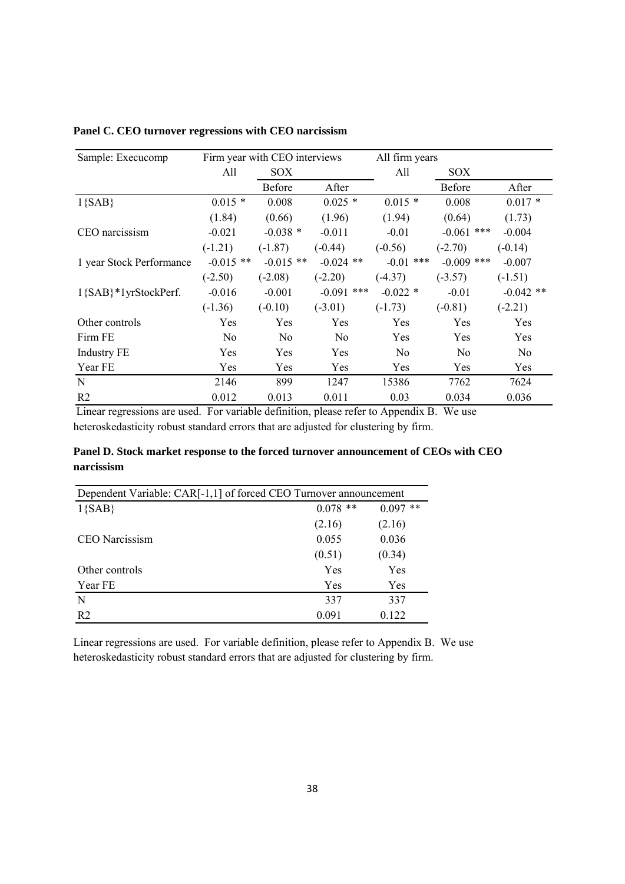| Sample: Execucomp        | Firm year with CEO interviews |                | All firm years |                |                |             |
|--------------------------|-------------------------------|----------------|----------------|----------------|----------------|-------------|
|                          | All                           | SOX            |                | All            | SOX            |             |
|                          |                               | <b>Before</b>  | After          |                | <b>Before</b>  | After       |
| $1{SAB}$                 | $0.015*$                      | 0.008          | $0.025$ *      | $0.015*$       | 0.008          | $0.017 *$   |
|                          | (1.84)                        | (0.66)         | (1.96)         | (1.94)         | (0.64)         | (1.73)      |
| CEO narcissism           | $-0.021$                      | $-0.038$ *     | $-0.011$       | $-0.01$        | $-0.061$ ***   | $-0.004$    |
|                          | $(-1.21)$                     | $(-1.87)$      | $(-0.44)$      | $(-0.56)$      | $(-2.70)$      | $(-0.14)$   |
| 1 year Stock Performance | $-0.015$ **                   | $-0.015$ **    | $-0.024$ **    | $-0.01$ ***    | $-0.009$ ***   | $-0.007$    |
|                          | $(-2.50)$                     | $(-2.08)$      | $(-2.20)$      | $(-4.37)$      | $(-3.57)$      | $(-1.51)$   |
| 1{SAB}*1yrStockPerf.     | $-0.016$                      | $-0.001$       | $-0.091$ ***   | $-0.022$ *     | $-0.01$        | $-0.042$ ** |
|                          | $(-1.36)$                     | $(-0.10)$      | $(-3.01)$      | $(-1.73)$      | $(-0.81)$      | $(-2.21)$   |
| Other controls           | Yes                           | Yes            | Yes            | Yes            | Yes            | Yes         |
| Firm FE                  | N <sub>0</sub>                | N <sub>0</sub> | No             | <b>Yes</b>     | Yes            | Yes         |
| <b>Industry FE</b>       | Yes                           | Yes            | Yes            | N <sub>0</sub> | N <sub>0</sub> | No          |
| Year FE                  | Yes                           | <b>Yes</b>     | Yes            | <b>Yes</b>     | <b>Yes</b>     | Yes         |
| N                        | 2146                          | 899            | 1247           | 15386          | 7762           | 7624        |
| R <sub>2</sub>           | 0.012                         | 0.013          | 0.011          | 0.03           | 0.034          | 0.036       |

## **Panel C. CEO turnover regressions with CEO narcissism**

 Linear regressions are used. For variable definition, please refer to Appendix B. We use heteroskedasticity robust standard errors that are adjusted for clustering by firm.

# **Panel D. Stock market response to the forced turnover announcement of CEOs with CEO narcissism**

| Dependent Variable: CAR[-1,1] of forced CEO Turnover announcement |            |           |  |  |
|-------------------------------------------------------------------|------------|-----------|--|--|
| $1{SAB}$                                                          | $0.078$ ** | $0.097**$ |  |  |
|                                                                   | (2.16)     | (2.16)    |  |  |
| <b>CEO</b> Narcissism                                             | 0.055      | 0.036     |  |  |
|                                                                   | (0.51)     | (0.34)    |  |  |
| Other controls                                                    | Yes        | Yes       |  |  |
| Year FE                                                           | Yes        | Yes       |  |  |
| N                                                                 | 337        | 337       |  |  |
| R <sub>2</sub>                                                    | 0.091      | 0.122     |  |  |

Linear regressions are used. For variable definition, please refer to Appendix B. We use heteroskedasticity robust standard errors that are adjusted for clustering by firm.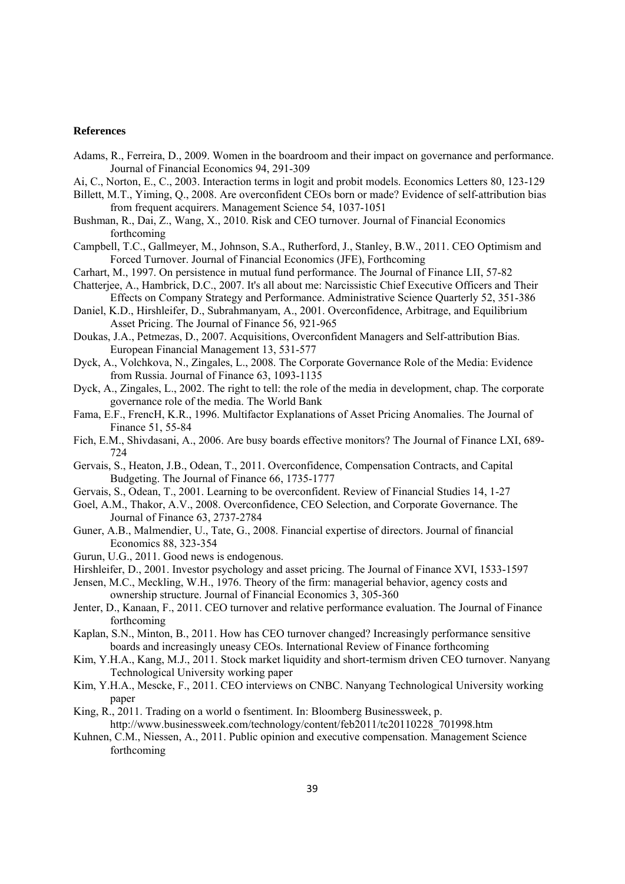#### **References**

- Adams, R., Ferreira, D., 2009. Women in the boardroom and their impact on governance and performance. Journal of Financial Economics 94, 291-309
- Ai, C., Norton, E., C., 2003. Interaction terms in logit and probit models. Economics Letters 80, 123-129
- Billett, M.T., Yiming, Q., 2008. Are overconfident CEOs born or made? Evidence of self-attribution bias from frequent acquirers. Management Science 54, 1037-1051
- Bushman, R., Dai, Z., Wang, X., 2010. Risk and CEO turnover. Journal of Financial Economics forthcoming
- Campbell, T.C., Gallmeyer, M., Johnson, S.A., Rutherford, J., Stanley, B.W., 2011. CEO Optimism and Forced Turnover. Journal of Financial Economics (JFE), Forthcoming
- Carhart, M., 1997. On persistence in mutual fund performance. The Journal of Finance LII, 57-82
- Chatterjee, A., Hambrick, D.C., 2007. It's all about me: Narcissistic Chief Executive Officers and Their Effects on Company Strategy and Performance. Administrative Science Quarterly 52, 351-386
- Daniel, K.D., Hirshleifer, D., Subrahmanyam, A., 2001. Overconfidence, Arbitrage, and Equilibrium Asset Pricing. The Journal of Finance 56, 921-965
- Doukas, J.A., Petmezas, D., 2007. Acquisitions, Overconfident Managers and Self-attribution Bias. European Financial Management 13, 531-577
- Dyck, A., Volchkova, N., Zingales, L., 2008. The Corporate Governance Role of the Media: Evidence from Russia. Journal of Finance 63, 1093-1135

Dyck, A., Zingales, L., 2002. The right to tell: the role of the media in development, chap. The corporate governance role of the media. The World Bank

- Fama, E.F., FrencH, K.R., 1996. Multifactor Explanations of Asset Pricing Anomalies. The Journal of Finance 51, 55-84
- Fich, E.M., Shivdasani, A., 2006. Are busy boards effective monitors? The Journal of Finance LXI, 689- 724
- Gervais, S., Heaton, J.B., Odean, T., 2011. Overconfidence, Compensation Contracts, and Capital Budgeting. The Journal of Finance 66, 1735-1777
- Gervais, S., Odean, T., 2001. Learning to be overconfident. Review of Financial Studies 14, 1-27
- Goel, A.M., Thakor, A.V., 2008. Overconfidence, CEO Selection, and Corporate Governance. The Journal of Finance 63, 2737-2784
- Guner, A.B., Malmendier, U., Tate, G., 2008. Financial expertise of directors. Journal of financial Economics 88, 323-354
- Gurun, U.G., 2011. Good news is endogenous.
- Hirshleifer, D., 2001. Investor psychology and asset pricing. The Journal of Finance XVI, 1533-1597
- Jensen, M.C., Meckling, W.H., 1976. Theory of the firm: managerial behavior, agency costs and ownership structure. Journal of Financial Economics 3, 305-360
- Jenter, D., Kanaan, F., 2011. CEO turnover and relative performance evaluation. The Journal of Finance forthcoming
- Kaplan, S.N., Minton, B., 2011. How has CEO turnover changed? Increasingly performance sensitive boards and increasingly uneasy CEOs. International Review of Finance forthcoming
- Kim, Y.H.A., Kang, M.J., 2011. Stock market liquidity and short-termism driven CEO turnover. Nanyang Technological University working paper
- Kim, Y.H.A., Mescke, F., 2011. CEO interviews on CNBC. Nanyang Technological University working paper
- King, R., 2011. Trading on a world o fsentiment. In: Bloomberg Businessweek, p. http://www.businessweek.com/technology/content/feb2011/tc20110228\_701998.htm
- Kuhnen, C.M., Niessen, A., 2011. Public opinion and executive compensation. Management Science forthcoming